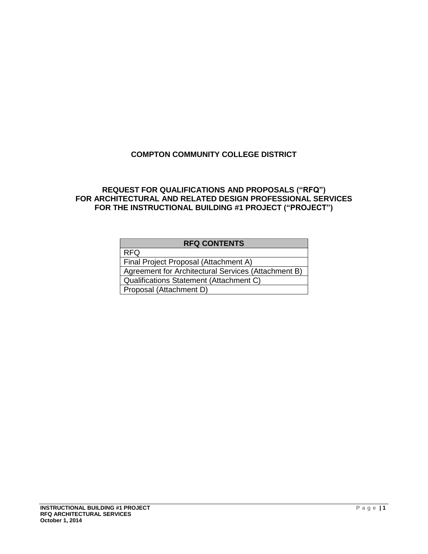## **COMPTON COMMUNITY COLLEGE DISTRICT**

### **REQUEST FOR QUALIFICATIONS AND PROPOSALS ("RFQ") FOR ARCHITECTURAL AND RELATED DESIGN PROFESSIONAL SERVICES FOR THE INSTRUCTIONAL BUILDING #1 PROJECT ("PROJECT")**

| <b>RFQ CONTENTS</b>                                 |  |  |  |  |
|-----------------------------------------------------|--|--|--|--|
| <b>RFQ</b>                                          |  |  |  |  |
| Final Project Proposal (Attachment A)               |  |  |  |  |
| Agreement for Architectural Services (Attachment B) |  |  |  |  |
| Qualifications Statement (Attachment C)             |  |  |  |  |
| Proposal (Attachment D)                             |  |  |  |  |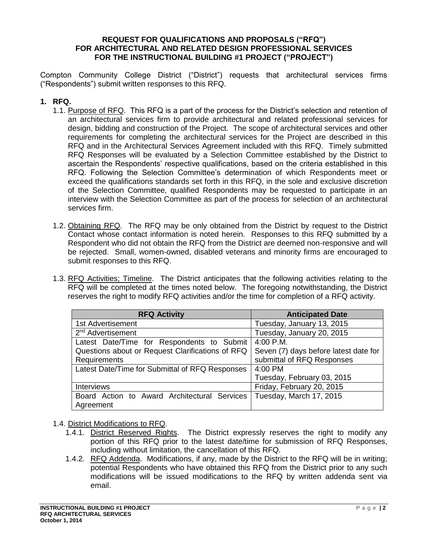#### **REQUEST FOR QUALIFICATIONS AND PROPOSALS ("RFQ") FOR ARCHITECTURAL AND RELATED DESIGN PROFESSIONAL SERVICES FOR THE INSTRUCTIONAL BUILDING #1 PROJECT ("PROJECT")**

Compton Community College District ("District") requests that architectural services firms ("Respondents") submit written responses to this RFQ.

#### **1. RFQ.**

- 1.1. Purpose of RFQ. This RFQ is a part of the process for the District's selection and retention of an architectural services firm to provide architectural and related professional services for design, bidding and construction of the Project. The scope of architectural services and other requirements for completing the architectural services for the Project are described in this RFQ and in the Architectural Services Agreement included with this RFQ. Timely submitted RFQ Responses will be evaluated by a Selection Committee established by the District to ascertain the Respondents' respective qualifications, based on the criteria established in this RFQ. Following the Selection Committee's determination of which Respondents meet or exceed the qualifications standards set forth in this RFQ, in the sole and exclusive discretion of the Selection Committee, qualified Respondents may be requested to participate in an interview with the Selection Committee as part of the process for selection of an architectural services firm.
- 1.2. Obtaining RFQ. The RFQ may be only obtained from the District by request to the District Contact whose contact information is noted herein. Responses to this RFQ submitted by a Respondent who did not obtain the RFQ from the District are deemed non-responsive and will be rejected. Small, women-owned, disabled veterans and minority firms are encouraged to submit responses to this RFQ.
- 1.3. RFQ Activities; Timeline. The District anticipates that the following activities relating to the RFQ will be completed at the times noted below. The foregoing notwithstanding, the District reserves the right to modify RFQ activities and/or the time for completion of a RFQ activity.

| <b>RFQ Activity</b>                              | <b>Anticipated Date</b>               |  |  |
|--------------------------------------------------|---------------------------------------|--|--|
| 1st Advertisement                                | Tuesday, January 13, 2015             |  |  |
| 2 <sup>nd</sup> Advertisement                    | Tuesday, January 20, 2015             |  |  |
| Latest Date/Time for Respondents to Submit       | 4:00 P.M.                             |  |  |
| Questions about or Request Clarifications of RFQ | Seven (7) days before latest date for |  |  |
| Requirements                                     | submittal of RFQ Responses            |  |  |
| Latest Date/Time for Submittal of RFQ Responses  | 4:00 PM                               |  |  |
|                                                  | Tuesday, February 03, 2015            |  |  |
| <b>Interviews</b>                                | Friday, February 20, 2015             |  |  |
| Board Action to Award Architectural Services     | Tuesday, March 17, 2015               |  |  |
| Agreement                                        |                                       |  |  |

- 1.4. District Modifications to RFQ.
	- 1.4.1. District Reserved Rights. The District expressly reserves the right to modify any portion of this RFQ prior to the latest date/time for submission of RFQ Responses, including without limitation, the cancellation of this RFQ.
	- 1.4.2. RFQ Addenda. Modifications, if any, made by the District to the RFQ will be in writing; potential Respondents who have obtained this RFQ from the District prior to any such modifications will be issued modifications to the RFQ by written addenda sent via email.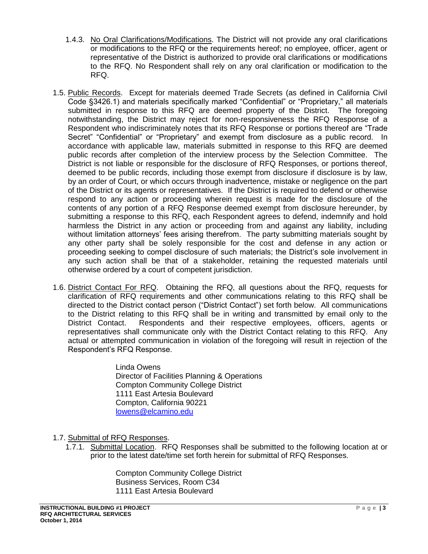- 1.4.3. No Oral Clarifications/Modifications. The District will not provide any oral clarifications or modifications to the RFQ or the requirements hereof; no employee, officer, agent or representative of the District is authorized to provide oral clarifications or modifications to the RFQ. No Respondent shall rely on any oral clarification or modification to the RFQ.
- 1.5. Public Records. Except for materials deemed Trade Secrets (as defined in California Civil Code §3426.1) and materials specifically marked "Confidential" or "Proprietary," all materials submitted in response to this RFQ are deemed property of the District. The foregoing notwithstanding, the District may reject for non-responsiveness the RFQ Response of a Respondent who indiscriminately notes that its RFQ Response or portions thereof are "Trade Secret" "Confidential" or "Proprietary" and exempt from disclosure as a public record. In accordance with applicable law, materials submitted in response to this RFQ are deemed public records after completion of the interview process by the Selection Committee. The District is not liable or responsible for the disclosure of RFQ Responses, or portions thereof, deemed to be public records, including those exempt from disclosure if disclosure is by law, by an order of Court, or which occurs through inadvertence, mistake or negligence on the part of the District or its agents or representatives. If the District is required to defend or otherwise respond to any action or proceeding wherein request is made for the disclosure of the contents of any portion of a RFQ Response deemed exempt from disclosure hereunder, by submitting a response to this RFQ, each Respondent agrees to defend, indemnify and hold harmless the District in any action or proceeding from and against any liability, including without limitation attorneys' fees arising therefrom. The party submitting materials sought by any other party shall be solely responsible for the cost and defense in any action or proceeding seeking to compel disclosure of such materials; the District's sole involvement in any such action shall be that of a stakeholder, retaining the requested materials until otherwise ordered by a court of competent jurisdiction.
- 1.6. District Contact For RFQ. Obtaining the RFQ, all questions about the RFQ, requests for clarification of RFQ requirements and other communications relating to this RFQ shall be directed to the District contact person ("District Contact") set forth below. All communications to the District relating to this RFQ shall be in writing and transmitted by email only to the District Contact. Respondents and their respective employees, officers, agents or representatives shall communicate only with the District Contact relating to this RFQ. Any actual or attempted communication in violation of the foregoing will result in rejection of the Respondent's RFQ Response.

Linda Owens Director of Facilities Planning & Operations Compton Community College District 1111 East Artesia Boulevard Compton, California 90221 [lowens@elcamino.edu](mailto:lowens@elcamino.edu)

1.7. Submittal of RFQ Responses.

1.7.1. Submittal Location. RFQ Responses shall be submitted to the following location at or prior to the latest date/time set forth herein for submittal of RFQ Responses.

> Compton Community College District Business Services, Room C34 1111 East Artesia Boulevard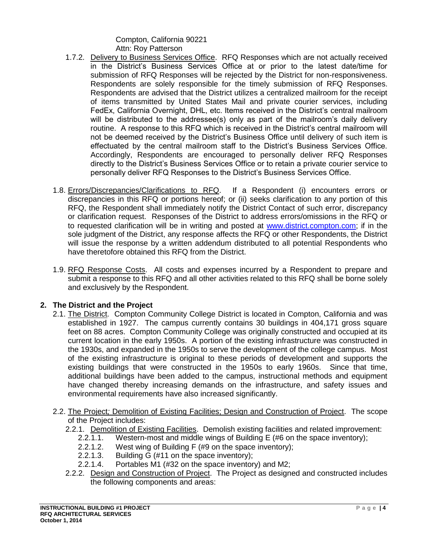Compton, California 90221 Attn: Roy Patterson

- 1.7.2. Delivery to Business Services Office. RFQ Responses which are not actually received in the District's Business Services Office at or prior to the latest date/time for submission of RFQ Responses will be rejected by the District for non-responsiveness. Respondents are solely responsible for the timely submission of RFQ Responses. Respondents are advised that the District utilizes a centralized mailroom for the receipt of items transmitted by United States Mail and private courier services, including FedEx, California Overnight, DHL, etc. Items received in the District's central mailroom will be distributed to the addressee(s) only as part of the mailroom's daily delivery routine. A response to this RFQ which is received in the District's central mailroom will not be deemed received by the District's Business Office until delivery of such item is effectuated by the central mailroom staff to the District's Business Services Office. Accordingly, Respondents are encouraged to personally deliver RFQ Responses directly to the District's Business Services Office or to retain a private courier service to personally deliver RFQ Responses to the District's Business Services Office.
- 1.8. Errors/Discrepancies/Clarifications to RFQ. If a Respondent (i) encounters errors or discrepancies in this RFQ or portions hereof; or (ii) seeks clarification to any portion of this RFQ, the Respondent shall immediately notify the District Contact of such error, discrepancy or clarification request. Responses of the District to address errors/omissions in the RFQ or to requested clarification will be in writing and posted at [www.district.compton.com;](http://www.district.compton.com/) if in the sole judgment of the District, any response affects the RFQ or other Respondents, the District will issue the response by a written addendum distributed to all potential Respondents who have theretofore obtained this RFQ from the District.
- 1.9. RFQ Response Costs. All costs and expenses incurred by a Respondent to prepare and submit a response to this RFQ and all other activities related to this RFQ shall be borne solely and exclusively by the Respondent.

#### **2. The District and the Project**

- 2.1. The District. Compton Community College District is located in Compton, California and was established in 1927. The campus currently contains 30 buildings in 404,171 gross square feet on 88 acres. Compton Community College was originally constructed and occupied at its current location in the early 1950s. A portion of the existing infrastructure was constructed in the 1930s, and expanded in the 1950s to serve the development of the college campus. Most of the existing infrastructure is original to these periods of development and supports the existing buildings that were constructed in the 1950s to early 1960s. Since that time, additional buildings have been added to the campus, instructional methods and equipment have changed thereby increasing demands on the infrastructure, and safety issues and environmental requirements have also increased significantly.
- 2.2. The Project*;* Demolition of Existing Facilities; Design and Construction of Project. The scope of the Project includes:
	- 2.2.1. Demolition of Existing Facilities. Demolish existing facilities and related improvement:
		- 2.2.1.1. Western-most and middle wings of Building E (#6 on the space inventory);
		- 2.2.1.2. West wing of Building F (#9 on the space inventory);
		- 2.2.1.3. Building G (#11 on the space inventory);
		- 2.2.1.4. Portables M1 (#32 on the space inventory) and M2;
	- 2.2.2. Design and Construction of Project. The Project as designed and constructed includes the following components and areas: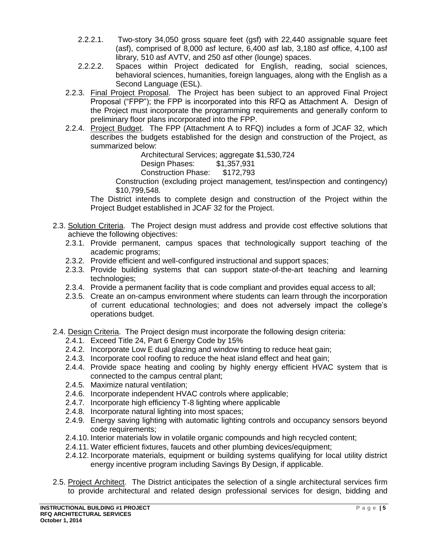- 2.2.2.1. Two-story 34,050 gross square feet (gsf) with 22,440 assignable square feet (asf), comprised of 8,000 asf lecture, 6,400 asf lab, 3,180 asf office, 4,100 asf library, 510 asf AVTV, and 250 asf other (lounge) spaces.
- 2.2.2.2. Spaces within Project dedicated for English, reading, social sciences, behavioral sciences, humanities, foreign languages, along with the English as a Second Language (ESL).
- 2.2.3. Final Project Proposal. The Project has been subject to an approved Final Project Proposal ("FPP"); the FPP is incorporated into this RFQ as Attachment A. Design of the Project must incorporate the programming requirements and generally conform to preliminary floor plans incorporated into the FPP.
- 2.2.4. Project Budget. The FPP (Attachment A to RFQ) includes a form of JCAF 32, which describes the budgets established for the design and construction of the Project, as summarized below:

Architectural Services: aggregate \$1,530,724

Design Phases: \$1,357,931

Construction Phase: \$172,793

Construction (excluding project management, test/inspection and contingency) \$10,799,548.

The District intends to complete design and construction of the Project within the Project Budget established in JCAF 32 for the Project.

- 2.3. Solution Criteria. The Project design must address and provide cost effective solutions that achieve the following objectives:
	- 2.3.1. Provide permanent, campus spaces that technologically support teaching of the academic programs;
	- 2.3.2. Provide efficient and well-configured instructional and support spaces;
	- 2.3.3. Provide building systems that can support state-of-the-art teaching and learning technologies;
	- 2.3.4. Provide a permanent facility that is code compliant and provides equal access to all;
	- 2.3.5. Create an on-campus environment where students can learn through the incorporation of current educational technologies; and does not adversely impact the college's operations budget.

2.4. Design Criteria. The Project design must incorporate the following design criteria:

- 2.4.1. Exceed Title 24, Part 6 Energy Code by 15%
- 2.4.2. Incorporate Low E dual glazing and window tinting to reduce heat gain;
- 2.4.3. Incorporate cool roofing to reduce the heat island effect and heat gain;
- 2.4.4. Provide space heating and cooling by highly energy efficient HVAC system that is connected to the campus central plant;
- 2.4.5. Maximize natural ventilation;
- 2.4.6. Incorporate independent HVAC controls where applicable;
- 2.4.7. Incorporate high efficiency T-8 lighting where applicable
- 2.4.8. Incorporate natural lighting into most spaces;
- 2.4.9. Energy saving lighting with automatic lighting controls and occupancy sensors beyond code requirements;
- 2.4.10. Interior materials low in volatile organic compounds and high recycled content;
- 2.4.11. Water efficient fixtures, faucets and other plumbing devices/equipment;
- 2.4.12. Incorporate materials, equipment or building systems qualifying for local utility district energy incentive program including Savings By Design, if applicable.
- 2.5. Project Architect. The District anticipates the selection of a single architectural services firm to provide architectural and related design professional services for design, bidding and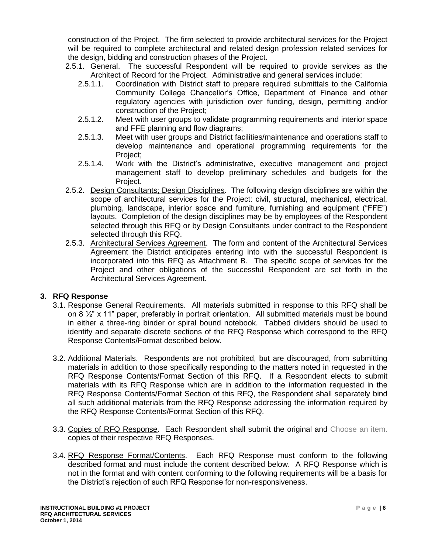construction of the Project. The firm selected to provide architectural services for the Project will be required to complete architectural and related design profession related services for the design, bidding and construction phases of the Project.

- 2.5.1. General. The successful Respondent will be required to provide services as the Architect of Record for the Project. Administrative and general services include:
	- 2.5.1.1. Coordination with District staff to prepare required submittals to the California Community College Chancellor's Office, Department of Finance and other regulatory agencies with jurisdiction over funding, design, permitting and/or construction of the Project;
	- 2.5.1.2. Meet with user groups to validate programming requirements and interior space and FFE planning and flow diagrams;
	- 2.5.1.3. Meet with user groups and District facilities/maintenance and operations staff to develop maintenance and operational programming requirements for the Project;
	- 2.5.1.4. Work with the District's administrative, executive management and project management staff to develop preliminary schedules and budgets for the Project.
- 2.5.2. Design Consultants; Design Disciplines. The following design disciplines are within the scope of architectural services for the Project: civil, structural, mechanical, electrical, plumbing, landscape, interior space and furniture, furnishing and equipment ("FFE") layouts. Completion of the design disciplines may be by employees of the Respondent selected through this RFQ or by Design Consultants under contract to the Respondent selected through this RFQ.
- 2.5.3. Architectural Services Agreement. The form and content of the Architectural Services Agreement the District anticipates entering into with the successful Respondent is incorporated into this RFQ as Attachment B. The specific scope of services for the Project and other obligations of the successful Respondent are set forth in the Architectural Services Agreement.

### **3. RFQ Response**

- 3.1. Response General Requirements. All materials submitted in response to this RFQ shall be on 8 ½" x 11" paper, preferably in portrait orientation. All submitted materials must be bound in either a three-ring binder or spiral bound notebook. Tabbed dividers should be used to identify and separate discrete sections of the RFQ Response which correspond to the RFQ Response Contents/Format described below.
- 3.2. Additional Materials. Respondents are not prohibited, but are discouraged, from submitting materials in addition to those specifically responding to the matters noted in requested in the RFQ Response Contents/Format Section of this RFQ. If a Respondent elects to submit materials with its RFQ Response which are in addition to the information requested in the RFQ Response Contents/Format Section of this RFQ, the Respondent shall separately bind all such additional materials from the RFQ Response addressing the information required by the RFQ Response Contents/Format Section of this RFQ.
- 3.3. Copies of RFQ Response. Each Respondent shall submit the original and Choose an item. copies of their respective RFQ Responses.
- 3.4. RFQ Response Format/Contents. Each RFQ Response must conform to the following described format and must include the content described below. A RFQ Response which is not in the format and with content conforming to the following requirements will be a basis for the District's rejection of such RFQ Response for non-responsiveness.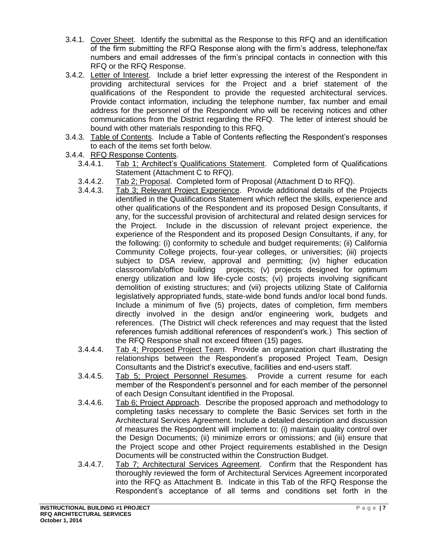- 3.4.1. Cover Sheet. Identify the submittal as the Response to this RFQ and an identification of the firm submitting the RFQ Response along with the firm's address, telephone/fax numbers and email addresses of the firm's principal contacts in connection with this RFQ or the RFQ Response.
- 3.4.2. Letter of Interest. Include a brief letter expressing the interest of the Respondent in providing architectural services for the Project and a brief statement of the qualifications of the Respondent to provide the requested architectural services. Provide contact information, including the telephone number, fax number and email address for the personnel of the Respondent who will be receiving notices and other communications from the District regarding the RFQ. The letter of interest should be bound with other materials responding to this RFQ.
- 3.4.3. Table of Contents. Include a Table of Contents reflecting the Respondent's responses to each of the items set forth below.
- 3.4.4. RFQ Response Contents.
	- 3.4.4.1. Tab 1; Architect's Qualifications Statement. Completed form of Qualifications Statement (Attachment C to RFQ).
	- 3.4.4.2. Tab 2; Proposal. Completed form of Proposal (Attachment D to RFQ).
	- 3.4.4.3. Tab 3; Relevant Project Experience. Provide additional details of the Projects identified in the Qualifications Statement which reflect the skills, experience and other qualifications of the Respondent and its proposed Design Consultants, if any, for the successful provision of architectural and related design services for the Project. Include in the discussion of relevant project experience, the experience of the Respondent and its proposed Design Consultants, if any, for the following: (i) conformity to schedule and budget requirements; (ii) California Community College projects, four-year colleges, or universities; (iii) projects subject to DSA review, approval and permitting; (iv) higher education classroom/lab/office building projects; (v) projects designed for optimum energy utilization and low life-cycle costs; (vi) projects involving significant demolition of existing structures; and (vii) projects utilizing State of California legislatively appropriated funds, state-wide bond funds and/or local bond funds. Include a minimum of five (5) projects, dates of completion, firm members directly involved in the design and/or engineering work, budgets and references. (The District will check references and may request that the listed references furnish additional references of respondent's work.) This section of the RFQ Response shall not exceed fifteen (15) pages.
	- 3.4.4.4. Tab 4; Proposed Project Team. Provide an organization chart illustrating the relationships between the Respondent's proposed Project Team, Design Consultants and the District's executive, facilities and end-users staff.
	- 3.4.4.5. Tab 5; Project Personnel Resumes. Provide a current resume for each member of the Respondent's personnel and for each member of the personnel of each Design Consultant identified in the Proposal.
	- 3.4.4.6. Tab 6; Project Approach. Describe the proposed approach and methodology to completing tasks necessary to complete the Basic Services set forth in the Architectural Services Agreement. Include a detailed description and discussion of measures the Respondent will implement to: (i) maintain quality control over the Design Documents; (ii) minimize errors or omissions; and (iii) ensure that the Project scope and other Project requirements established in the Design Documents will be constructed within the Construction Budget.
	- 3.4.4.7. Tab 7; Architectural Services Agreement. Confirm that the Respondent has thoroughly reviewed the form of Architectural Services Agreement incorporated into the RFQ as Attachment B. Indicate in this Tab of the RFQ Response the Respondent's acceptance of all terms and conditions set forth in the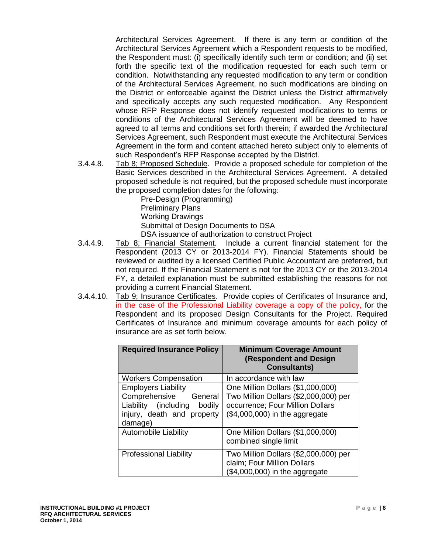Architectural Services Agreement. If there is any term or condition of the Architectural Services Agreement which a Respondent requests to be modified, the Respondent must: (i) specifically identify such term or condition; and (ii) set forth the specific text of the modification requested for each such term or condition. Notwithstanding any requested modification to any term or condition of the Architectural Services Agreement, no such modifications are binding on the District or enforceable against the District unless the District affirmatively and specifically accepts any such requested modification. Any Respondent whose RFP Response does not identify requested modifications to terms or conditions of the Architectural Services Agreement will be deemed to have agreed to all terms and conditions set forth therein; if awarded the Architectural Services Agreement, such Respondent must execute the Architectural Services Agreement in the form and content attached hereto subject only to elements of such Respondent's RFP Response accepted by the District.

3.4.4.8. Tab 8; Proposed Schedule. Provide a proposed schedule for completion of the Basic Services described in the Architectural Services Agreement. A detailed proposed schedule is not required, but the proposed schedule must incorporate the proposed completion dates for the following:

Pre-Design (Programming) Preliminary Plans Working Drawings Submittal of Design Documents to DSA DSA issuance of authorization to construct Project

- 3.4.4.9. Tab 8; Financial Statement. Include a current financial statement for the Respondent (2013 CY or 2013-2014 FY). Financial Statements should be reviewed or audited by a licensed Certified Public Accountant are preferred, but not required. If the Financial Statement is not for the 2013 CY or the 2013-2014 FY, a detailed explanation must be submitted establishing the reasons for not providing a current Financial Statement.
- 3.4.4.10. Tab 9; Insurance Certificates. Provide copies of Certificates of Insurance and, in the case of the Professional Liability coverage a copy of the policy, for the Respondent and its proposed Design Consultants for the Project. Required Certificates of Insurance and minimum coverage amounts for each policy of insurance are as set forth below.

| <b>Required Insurance Policy</b>                                                                    | <b>Minimum Coverage Amount</b><br><b>(Respondent and Design</b><br><b>Consultants)</b>                       |  |  |  |  |
|-----------------------------------------------------------------------------------------------------|--------------------------------------------------------------------------------------------------------------|--|--|--|--|
| <b>Workers Compensation</b>                                                                         | In accordance with law                                                                                       |  |  |  |  |
| <b>Employers Liability</b>                                                                          | One Million Dollars (\$1,000,000)                                                                            |  |  |  |  |
| Comprehensive<br>General<br>Liability (including<br>bodily<br>injury, death and property<br>damage) | Two Million Dollars (\$2,000,000) per<br>occurrence; Four Million Dollars<br>$($4,000,000)$ in the aggregate |  |  |  |  |
| <b>Automobile Liability</b>                                                                         | One Million Dollars (\$1,000,000)<br>combined single limit                                                   |  |  |  |  |
| <b>Professional Liability</b>                                                                       | Two Million Dollars (\$2,000,000) per<br>claim; Four Million Dollars<br>$($4,000,000)$ in the aggregate      |  |  |  |  |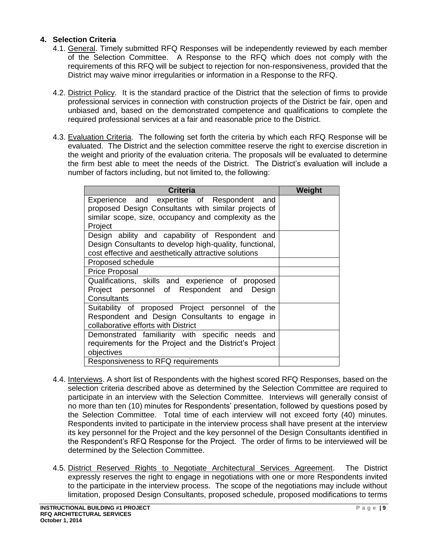### **4. Selection Criteria**

- 4.1. General. Timely submitted RFQ Responses will be independently reviewed by each member of the Selection Committee. A Response to the RFQ which does not comply with the requirements of this RFQ will be subject to rejection for non-responsiveness, provided that the District may waive minor irregularities or information in a Response to the RFQ.
- 4.2. District Policy. It is the standard practice of the District that the selection of firms to provide professional services in connection with construction projects of the District be fair, open and unbiased and, based on the demonstrated competence and qualifications to complete the required professional services at a fair and reasonable price to the District.
- 4.3. Evaluation Criteria. The following set forth the criteria by which each RFQ Response will be evaluated. The District and the selection committee reserve the right to exercise discretion in the weight and priority of the evaluation criteria. The proposals will be evaluated to determine the firm best able to meet the needs of the District. The District's evaluation will include a number of factors including, but not limited to, the following:

| <b>Criteria</b>                                         | Weight |  |  |
|---------------------------------------------------------|--------|--|--|
| Experience and expertise of Respondent and              |        |  |  |
| proposed Design Consultants with similar projects of    |        |  |  |
| similar scope, size, occupancy and complexity as the    |        |  |  |
| Project                                                 |        |  |  |
| Design ability and capability of Respondent and         |        |  |  |
| Design Consultants to develop high-quality, functional, |        |  |  |
| cost effective and aesthetically attractive solutions   |        |  |  |
| Proposed schedule                                       |        |  |  |
| <b>Price Proposal</b>                                   |        |  |  |
| Qualifications, skills and experience of proposed       |        |  |  |
| Project personnel of Respondent and Design              |        |  |  |
| Consultants                                             |        |  |  |
| Suitability of proposed Project personnel of the        |        |  |  |
| Respondent and Design Consultants to engage in          |        |  |  |
| collaborative efforts with District                     |        |  |  |
| Demonstrated familiarity with specific needs and        |        |  |  |
| requirements for the Project and the District's Project |        |  |  |
| objectives                                              |        |  |  |
| Responsiveness to RFQ requirements                      |        |  |  |

- 4.4. Interviews. A short list of Respondents with the highest scored RFQ Responses, based on the selection criteria described above as determined by the Selection Committee are required to participate in an interview with the Selection Committee. Interviews will generally consist of no more than ten (10) minutes for Respondents' presentation, followed by questions posed by the Selection Committee. Total time of each interview will not exceed forty (40) minutes. Respondents invited to participate in the interview process shall have present at the interview its key personnel for the Project and the key personnel of the Design Consultants identified in the Respondent's RFQ Response for the Project. The order of firms to be interviewed will be determined by the Selection Committee.
- 4.5. District Reserved Rights to Negotiate Architectural Services Agreement. The District expressly reserves the right to engage in negotiations with one or more Respondents invited to the participate in the interview process. The scope of the negotiations may include without limitation, proposed Design Consultants, proposed schedule, proposed modifications to terms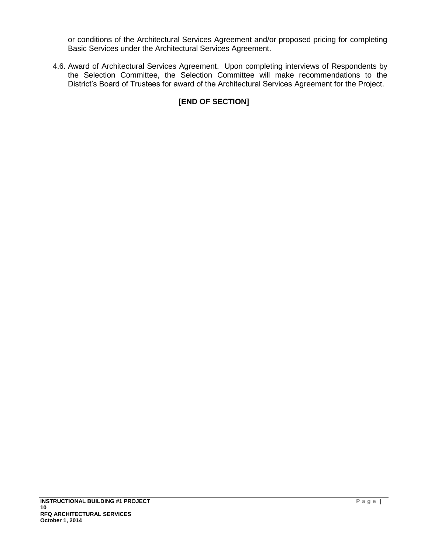or conditions of the Architectural Services Agreement and/or proposed pricing for completing Basic Services under the Architectural Services Agreement.

4.6. Award of Architectural Services Agreement. Upon completing interviews of Respondents by the Selection Committee, the Selection Committee will make recommendations to the District's Board of Trustees for award of the Architectural Services Agreement for the Project.

# **[END OF SECTION]**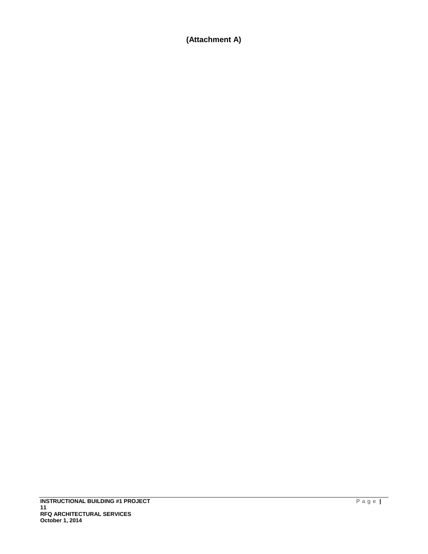# **(Attachment A)**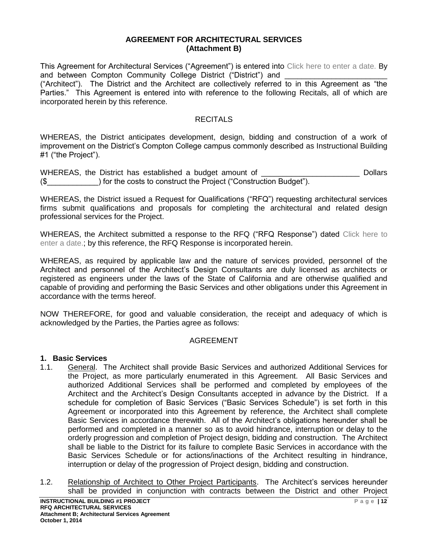#### **AGREEMENT FOR ARCHITECTURAL SERVICES (Attachment B)**

This Agreement for Architectural Services ("Agreement") is entered into Click here to enter a date. By and between Compton Community College District ("District") and

("Architect"). The District and the Architect are collectively referred to in this Agreement as "the Parties." This Agreement is entered into with reference to the following Recitals, all of which are incorporated herein by this reference.

### **RECITALS**

WHEREAS, the District anticipates development, design, bidding and construction of a work of improvement on the District's Compton College campus commonly described as Instructional Building #1 ("the Project").

WHEREAS, the District has established a budget amount of \_\_\_\_\_\_\_\_\_\_\_\_\_\_\_\_\_\_\_\_\_\_\_\_ Dollars (\$\_\_\_\_\_\_\_\_\_\_\_\_) for the costs to construct the Project ("Construction Budget").

WHEREAS, the District issued a Request for Qualifications ("RFQ") requesting architectural services firms submit qualifications and proposals for completing the architectural and related design professional services for the Project.

WHEREAS, the Architect submitted a response to the RFQ ("RFQ Response") dated Click here to enter a date.; by this reference, the RFQ Response is incorporated herein.

WHEREAS, as required by applicable law and the nature of services provided, personnel of the Architect and personnel of the Architect's Design Consultants are duly licensed as architects or registered as engineers under the laws of the State of California and are otherwise qualified and capable of providing and performing the Basic Services and other obligations under this Agreement in accordance with the terms hereof.

NOW THEREFORE, for good and valuable consideration, the receipt and adequacy of which is acknowledged by the Parties, the Parties agree as follows:

#### AGREEMENT

#### **1. Basic Services**

- 1.1. General. The Architect shall provide Basic Services and authorized Additional Services for the Project, as more particularly enumerated in this Agreement. All Basic Services and authorized Additional Services shall be performed and completed by employees of the Architect and the Architect's Design Consultants accepted in advance by the District. If a schedule for completion of Basic Services ("Basic Services Schedule") is set forth in this Agreement or incorporated into this Agreement by reference, the Architect shall complete Basic Services in accordance therewith. All of the Architect's obligations hereunder shall be performed and completed in a manner so as to avoid hindrance, interruption or delay to the orderly progression and completion of Project design, bidding and construction. The Architect shall be liable to the District for its failure to complete Basic Services in accordance with the Basic Services Schedule or for actions/inactions of the Architect resulting in hindrance, interruption or delay of the progression of Project design, bidding and construction.
- 1.2. Relationship of Architect to Other Project Participants. The Architect's services hereunder shall be provided in conjunction with contracts between the District and other Project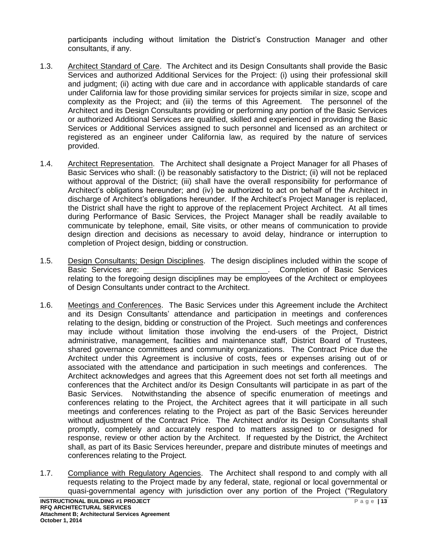participants including without limitation the District's Construction Manager and other consultants, if any.

- 1.3. Architect Standard of Care. The Architect and its Design Consultants shall provide the Basic Services and authorized Additional Services for the Project: (i) using their professional skill and judgment; (ii) acting with due care and in accordance with applicable standards of care under California law for those providing similar services for projects similar in size, scope and complexity as the Project; and (iii) the terms of this Agreement. The personnel of the Architect and its Design Consultants providing or performing any portion of the Basic Services or authorized Additional Services are qualified, skilled and experienced in providing the Basic Services or Additional Services assigned to such personnel and licensed as an architect or registered as an engineer under California law, as required by the nature of services provided.
- 1.4. Architect Representation. The Architect shall designate a Project Manager for all Phases of Basic Services who shall: (i) be reasonably satisfactory to the District; (ii) will not be replaced without approval of the District; (iii) shall have the overall responsibility for performance of Architect's obligations hereunder; and (iv) be authorized to act on behalf of the Architect in discharge of Architect's obligations hereunder. If the Architect's Project Manager is replaced, the District shall have the right to approve of the replacement Project Architect. At all times during Performance of Basic Services, the Project Manager shall be readily available to communicate by telephone, email, Site visits, or other means of communication to provide design direction and decisions as necessary to avoid delay, hindrance or interruption to completion of Project design, bidding or construction.
- 1.5. Design Consultants; Design Disciplines. The design disciplines included within the scope of Basic Services are: <br>
Basic Services are: **Basic Services** relating to the foregoing design disciplines may be employees of the Architect or employees of Design Consultants under contract to the Architect.
- 1.6. Meetings and Conferences. The Basic Services under this Agreement include the Architect and its Design Consultants' attendance and participation in meetings and conferences relating to the design, bidding or construction of the Project. Such meetings and conferences may include without limitation those involving the end-users of the Project, District administrative, management, facilities and maintenance staff, District Board of Trustees, shared governance committees and community organizations. The Contract Price due the Architect under this Agreement is inclusive of costs, fees or expenses arising out of or associated with the attendance and participation in such meetings and conferences. The Architect acknowledges and agrees that this Agreement does not set forth all meetings and conferences that the Architect and/or its Design Consultants will participate in as part of the Basic Services. Notwithstanding the absence of specific enumeration of meetings and conferences relating to the Project, the Architect agrees that it will participate in all such meetings and conferences relating to the Project as part of the Basic Services hereunder without adjustment of the Contract Price. The Architect and/or its Design Consultants shall promptly, completely and accurately respond to matters assigned to or designed for response, review or other action by the Architect. If requested by the District, the Architect shall, as part of its Basic Services hereunder, prepare and distribute minutes of meetings and conferences relating to the Project.
- 1.7. Compliance with Regulatory Agencies. The Architect shall respond to and comply with all requests relating to the Project made by any federal, state, regional or local governmental or quasi-governmental agency with jurisdiction over any portion of the Project ("Regulatory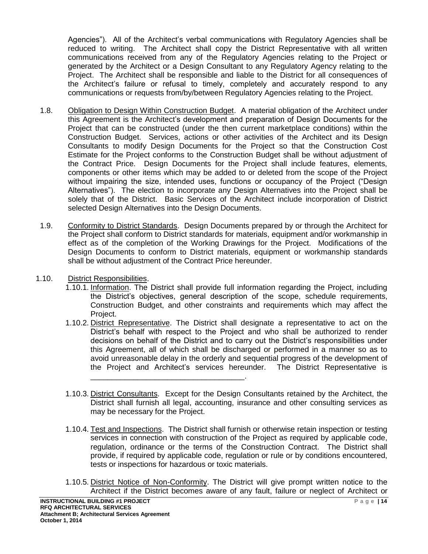Agencies"). All of the Architect's verbal communications with Regulatory Agencies shall be reduced to writing. The Architect shall copy the District Representative with all written communications received from any of the Regulatory Agencies relating to the Project or generated by the Architect or a Design Consultant to any Regulatory Agency relating to the Project. The Architect shall be responsible and liable to the District for all consequences of the Architect's failure or refusal to timely, completely and accurately respond to any communications or requests from/by/between Regulatory Agencies relating to the Project.

- 1.8. Obligation to Design Within Construction Budget. A material obligation of the Architect under this Agreement is the Architect's development and preparation of Design Documents for the Project that can be constructed (under the then current marketplace conditions) within the Construction Budget. Services, actions or other activities of the Architect and its Design Consultants to modify Design Documents for the Project so that the Construction Cost Estimate for the Project conforms to the Construction Budget shall be without adjustment of the Contract Price. Design Documents for the Project shall include features, elements, components or other items which may be added to or deleted from the scope of the Project without impairing the size, intended uses, functions or occupancy of the Project ("Design Alternatives"). The election to incorporate any Design Alternatives into the Project shall be solely that of the District. Basic Services of the Architect include incorporation of District selected Design Alternatives into the Design Documents.
- 1.9. Conformity to District Standards. Design Documents prepared by or through the Architect for the Project shall conform to District standards for materials, equipment and/or workmanship in effect as of the completion of the Working Drawings for the Project. Modifications of the Design Documents to conform to District materials, equipment or workmanship standards shall be without adjustment of the Contract Price hereunder.
- 1.10. District Responsibilities.
	- 1.10.1. Information. The District shall provide full information regarding the Project, including the District's objectives, general description of the scope, schedule requirements, Construction Budget, and other constraints and requirements which may affect the Project.
	- 1.10.2. District Representative. The District shall designate a representative to act on the District's behalf with respect to the Project and who shall be authorized to render decisions on behalf of the District and to carry out the District's responsibilities under this Agreement, all of which shall be discharged or performed in a manner so as to avoid unreasonable delay in the orderly and sequential progress of the development of the Project and Architect's services hereunder. The District Representative is \_\_\_\_\_\_\_\_\_\_\_\_\_\_\_\_\_\_\_\_\_\_\_\_\_\_\_\_\_\_\_\_\_\_\_\_.
	- 1.10.3. District Consultants. Except for the Design Consultants retained by the Architect, the District shall furnish all legal, accounting, insurance and other consulting services as may be necessary for the Project.
	- 1.10.4. Test and Inspections. The District shall furnish or otherwise retain inspection or testing services in connection with construction of the Project as required by applicable code, regulation, ordinance or the terms of the Construction Contract. The District shall provide, if required by applicable code, regulation or rule or by conditions encountered, tests or inspections for hazardous or toxic materials.
	- 1.10.5. District Notice of Non-Conformity. The District will give prompt written notice to the Architect if the District becomes aware of any fault, failure or neglect of Architect or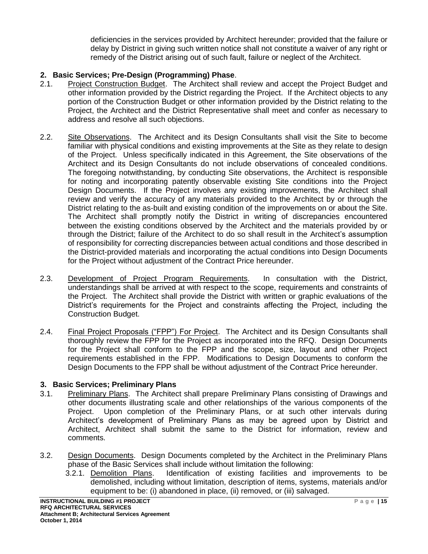deficiencies in the services provided by Architect hereunder; provided that the failure or delay by District in giving such written notice shall not constitute a waiver of any right or remedy of the District arising out of such fault, failure or neglect of the Architect.

## **2. Basic Services; Pre-Design (Programming) Phase**.

- 2.1. Project Construction Budget. The Architect shall review and accept the Project Budget and other information provided by the District regarding the Project. If the Architect objects to any portion of the Construction Budget or other information provided by the District relating to the Project, the Architect and the District Representative shall meet and confer as necessary to address and resolve all such objections.
- 2.2. Site Observations. The Architect and its Design Consultants shall visit the Site to become familiar with physical conditions and existing improvements at the Site as they relate to design of the Project. Unless specifically indicated in this Agreement, the Site observations of the Architect and its Design Consultants do not include observations of concealed conditions. The foregoing notwithstanding, by conducting Site observations, the Architect is responsible for noting and incorporating patently observable existing Site conditions into the Project Design Documents. If the Project involves any existing improvements, the Architect shall review and verify the accuracy of any materials provided to the Architect by or through the District relating to the as-built and existing condition of the improvements on or about the Site. The Architect shall promptly notify the District in writing of discrepancies encountered between the existing conditions observed by the Architect and the materials provided by or through the District; failure of the Architect to do so shall result in the Architect's assumption of responsibility for correcting discrepancies between actual conditions and those described in the District-provided materials and incorporating the actual conditions into Design Documents for the Project without adjustment of the Contract Price hereunder.
- 2.3. Development of Project Program Requirements. In consultation with the District, understandings shall be arrived at with respect to the scope, requirements and constraints of the Project. The Architect shall provide the District with written or graphic evaluations of the District's requirements for the Project and constraints affecting the Project, including the Construction Budget.
- 2.4. Final Project Proposals ("FPP") For Project. The Architect and its Design Consultants shall thoroughly review the FPP for the Project as incorporated into the RFQ. Design Documents for the Project shall conform to the FPP and the scope, size, layout and other Project requirements established in the FPP. Modifications to Design Documents to conform the Design Documents to the FPP shall be without adjustment of the Contract Price hereunder.

### **3. Basic Services; Preliminary Plans**

- 3.1. Preliminary Plans. The Architect shall prepare Preliminary Plans consisting of Drawings and other documents illustrating scale and other relationships of the various components of the Project. Upon completion of the Preliminary Plans, or at such other intervals during Architect's development of Preliminary Plans as may be agreed upon by District and Architect, Architect shall submit the same to the District for information, review and comments.
- 3.2. Design Documents. Design Documents completed by the Architect in the Preliminary Plans phase of the Basic Services shall include without limitation the following:
	- 3.2.1. Demolition Plans. Identification of existing facilities and improvements to be demolished, including without limitation, description of items, systems, materials and/or equipment to be: (i) abandoned in place, (ii) removed, or (iii) salvaged.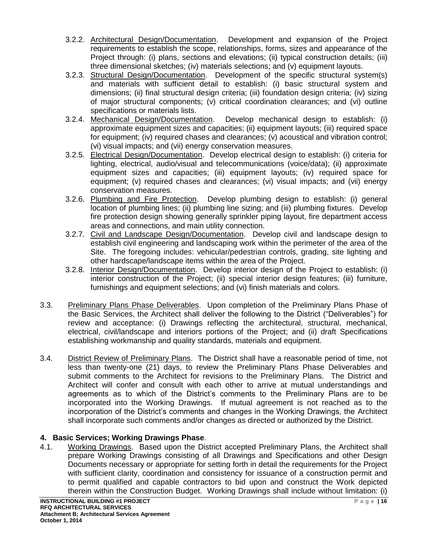- 3.2.2. Architectural Design/Documentation. Development and expansion of the Project requirements to establish the scope, relationships, forms, sizes and appearance of the Project through: (i) plans, sections and elevations; (ii) typical construction details; (iii) three dimensional sketches; (iv) materials selections; and (v) equipment layouts.
- 3.2.3. Structural Design/Documentation. Development of the specific structural system(s) and materials with sufficient detail to establish: (i) basic structural system and dimensions; (ii) final structural design criteria; (iii) foundation design criteria; (iv) sizing of major structural components; (v) critical coordination clearances; and (vi) outline specifications or materials lists.
- 3.2.4. Mechanical Design/Documentation. Develop mechanical design to establish: (i) approximate equipment sizes and capacities; (ii) equipment layouts; (iii) required space for equipment; (iv) required chases and clearances; (v) acoustical and vibration control; (vi) visual impacts; and (vii) energy conservation measures.
- 3.2.5. Electrical Design/Documentation. Develop electrical design to establish: (i) criteria for lighting, electrical, audio/visual and telecommunications (voice/data); (ii) approximate equipment sizes and capacities; (iii) equipment layouts; (iv) required space for equipment; (v) required chases and clearances; (vi) visual impacts; and (vii) energy conservation measures.
- 3.2.6. Plumbing and Fire Protection. Develop plumbing design to establish: (i) general location of plumbing lines; (ii) plumbing line sizing; and (iii) plumbing fixtures. Develop fire protection design showing generally sprinkler piping layout, fire department access areas and connections, and main utility connection.
- 3.2.7. Civil and Landscape Design/Documentation. Develop civil and landscape design to establish civil engineering and landscaping work within the perimeter of the area of the Site. The foregoing includes: vehicular/pedestrian controls, grading, site lighting and other hardscape/landscape items within the area of the Project.
- 3.2.8. Interior Design/Documentation. Develop interior design of the Project to establish: (i) interior construction of the Project; (ii) special interior design features; (iii) furniture, furnishings and equipment selections; and (vi) finish materials and colors.
- 3.3. Preliminary Plans Phase Deliverables. Upon completion of the Preliminary Plans Phase of the Basic Services, the Architect shall deliver the following to the District ("Deliverables") for review and acceptance: (i) Drawings reflecting the architectural, structural, mechanical, electrical, civil/landscape and interiors portions of the Project; and (ii) draft Specifications establishing workmanship and quality standards, materials and equipment.
- 3.4. District Review of Preliminary Plans. The District shall have a reasonable period of time, not less than twenty-one (21) days, to review the Preliminary Plans Phase Deliverables and submit comments to the Architect for revisions to the Preliminary Plans. The District and Architect will confer and consult with each other to arrive at mutual understandings and agreements as to which of the District's comments to the Preliminary Plans are to be incorporated into the Working Drawings. If mutual agreement is not reached as to the incorporation of the District's comments and changes in the Working Drawings, the Architect shall incorporate such comments and/or changes as directed or authorized by the District.

# **4. Basic Services; Working Drawings Phase**.

4.1. Working Drawings. Based upon the District accepted Preliminary Plans, the Architect shall prepare Working Drawings consisting of all Drawings and Specifications and other Design Documents necessary or appropriate for setting forth in detail the requirements for the Project with sufficient clarity, coordination and consistency for issuance of a construction permit and to permit qualified and capable contractors to bid upon and construct the Work depicted therein within the Construction Budget. Working Drawings shall include without limitation: (i)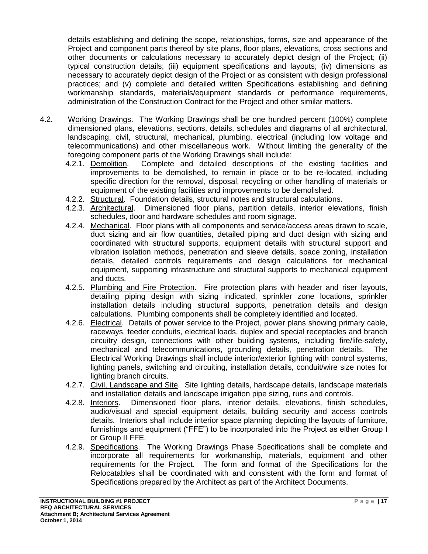details establishing and defining the scope, relationships, forms, size and appearance of the Project and component parts thereof by site plans, floor plans, elevations, cross sections and other documents or calculations necessary to accurately depict design of the Project; (ii) typical construction details; (iii) equipment specifications and layouts; (iv) dimensions as necessary to accurately depict design of the Project or as consistent with design professional practices; and (v) complete and detailed written Specifications establishing and defining workmanship standards, materials/equipment standards or performance requirements, administration of the Construction Contract for the Project and other similar matters.

- 4.2. Working Drawings. The Working Drawings shall be one hundred percent (100%) complete dimensioned plans, elevations, sections, details, schedules and diagrams of all architectural, landscaping, civil, structural, mechanical, plumbing, electrical (including low voltage and telecommunications) and other miscellaneous work. Without limiting the generality of the foregoing component parts of the Working Drawings shall include:
	- 4.2.1. Demolition. Complete and detailed descriptions of the existing facilities and improvements to be demolished, to remain in place or to be re-located, including specific direction for the removal, disposal, recycling or other handling of materials or equipment of the existing facilities and improvements to be demolished.
	- 4.2.2. Structural. Foundation details, structural notes and structural calculations.
	- 4.2.3. Architectural. Dimensioned floor plans, partition details, interior elevations, finish schedules, door and hardware schedules and room signage.
	- 4.2.4. Mechanical. Floor plans with all components and service/access areas drawn to scale, duct sizing and air flow quantities, detailed piping and duct design with sizing and coordinated with structural supports, equipment details with structural support and vibration isolation methods, penetration and sleeve details, space zoning, installation details, detailed controls requirements and design calculations for mechanical equipment, supporting infrastructure and structural supports to mechanical equipment and ducts.
	- 4.2.5. Plumbing and Fire Protection. Fire protection plans with header and riser layouts, detailing piping design with sizing indicated, sprinkler zone locations, sprinkler installation details including structural supports, penetration details and design calculations. Plumbing components shall be completely identified and located.
	- 4.2.6. Electrical. Details of power service to the Project, power plans showing primary cable, raceways, feeder conduits, electrical loads, duplex and special receptacles and branch circuitry design, connections with other building systems, including fire/life-safety, mechanical and telecommunications, grounding details, penetration details. The Electrical Working Drawings shall include interior/exterior lighting with control systems, lighting panels, switching and circuiting, installation details, conduit/wire size notes for lighting branch circuits.
	- 4.2.7. Civil, Landscape and Site. Site lighting details, hardscape details, landscape materials and installation details and landscape irrigation pipe sizing, runs and controls.
	- 4.2.8. Interiors. Dimensioned floor plans, interior details, elevations, finish schedules, audio/visual and special equipment details, building security and access controls details. Interiors shall include interior space planning depicting the layouts of furniture, furnishings and equipment ("FFE") to be incorporated into the Project as either Group I or Group II FFE.
	- 4.2.9. Specifications. The Working Drawings Phase Specifications shall be complete and incorporate all requirements for workmanship, materials, equipment and other requirements for the Project. The form and format of the Specifications for the Relocatables shall be coordinated with and consistent with the form and format of Specifications prepared by the Architect as part of the Architect Documents.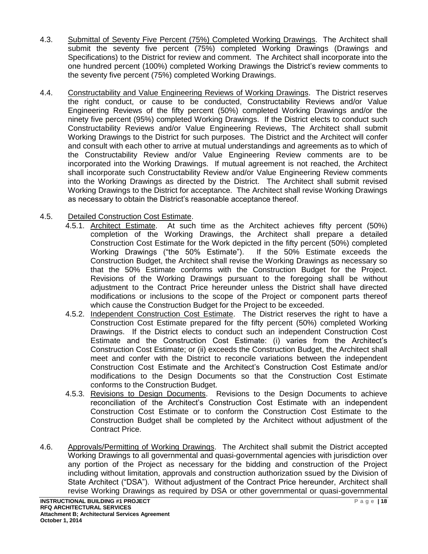- 4.3. Submittal of Seventy Five Percent (75%) Completed Working Drawings. The Architect shall submit the seventy five percent (75%) completed Working Drawings (Drawings and Specifications) to the District for review and comment. The Architect shall incorporate into the one hundred percent (100%) completed Working Drawings the District's review comments to the seventy five percent (75%) completed Working Drawings.
- 4.4. Constructability and Value Engineering Reviews of Working Drawings. The District reserves the right conduct, or cause to be conducted, Constructability Reviews and/or Value Engineering Reviews of the fifty percent (50%) completed Working Drawings and/or the ninety five percent (95%) completed Working Drawings. If the District elects to conduct such Constructability Reviews and/or Value Engineering Reviews, The Architect shall submit Working Drawings to the District for such purposes. The District and the Architect will confer and consult with each other to arrive at mutual understandings and agreements as to which of the Constructability Review and/or Value Engineering Review comments are to be incorporated into the Working Drawings. If mutual agreement is not reached, the Architect shall incorporate such Constructability Review and/or Value Engineering Review comments into the Working Drawings as directed by the District. The Architect shall submit revised Working Drawings to the District for acceptance. The Architect shall revise Working Drawings as necessary to obtain the District's reasonable acceptance thereof.

## 4.5. Detailed Construction Cost Estimate.

- 4.5.1. Architect Estimate. At such time as the Architect achieves fifty percent (50%) completion of the Working Drawings, the Architect shall prepare a detailed Construction Cost Estimate for the Work depicted in the fifty percent (50%) completed Working Drawings ("the 50% Estimate"). If the 50% Estimate exceeds the Construction Budget, the Architect shall revise the Working Drawings as necessary so that the 50% Estimate conforms with the Construction Budget for the Project. Revisions of the Working Drawings pursuant to the foregoing shall be without adjustment to the Contract Price hereunder unless the District shall have directed modifications or inclusions to the scope of the Project or component parts thereof which cause the Construction Budget for the Project to be exceeded.
- 4.5.2. Independent Construction Cost Estimate. The District reserves the right to have a Construction Cost Estimate prepared for the fifty percent (50%) completed Working Drawings. If the District elects to conduct such an independent Construction Cost Estimate and the Construction Cost Estimate: (i) varies from the Architect's Construction Cost Estimate; or (ii) exceeds the Construction Budget, the Architect shall meet and confer with the District to reconcile variations between the independent Construction Cost Estimate and the Architect's Construction Cost Estimate and/or modifications to the Design Documents so that the Construction Cost Estimate conforms to the Construction Budget.
- 4.5.3. Revisions to Design Documents. Revisions to the Design Documents to achieve reconciliation of the Architect's Construction Cost Estimate with an independent Construction Cost Estimate or to conform the Construction Cost Estimate to the Construction Budget shall be completed by the Architect without adjustment of the Contract Price.
- 4.6. Approvals/Permitting of Working Drawings. The Architect shall submit the District accepted Working Drawings to all governmental and quasi-governmental agencies with jurisdiction over any portion of the Project as necessary for the bidding and construction of the Project including without limitation, approvals and construction authorization ssued by the Division of State Architect ("DSA"). Without adjustment of the Contract Price hereunder, Architect shall revise Working Drawings as required by DSA or other governmental or quasi-governmental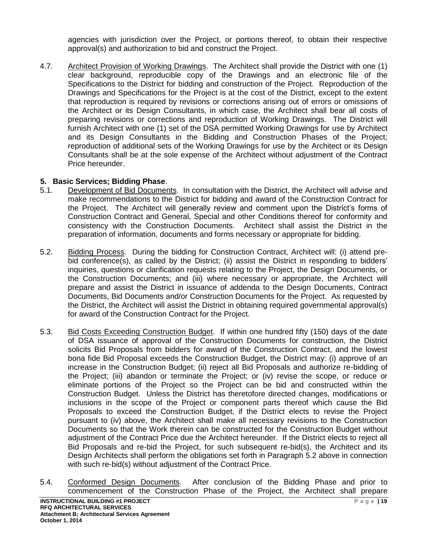agencies with jurisdiction over the Project, or portions thereof, to obtain their respective approval(s) and authorization to bid and construct the Project.

4.7. Architect Provision of Working Drawings. The Architect shall provide the District with one (1) clear background, reproducible copy of the Drawings and an electronic file of the Specifications to the District for bidding and construction of the Project. Reproduction of the Drawings and Specifications for the Project is at the cost of the District, except to the extent that reproduction is required by revisions or corrections arising out of errors or omissions of the Architect or its Design Consultants, in which case, the Architect shall bear all costs of preparing revisions or corrections and reproduction of Working Drawings. The District will furnish Architect with one (1) set of the DSA permitted Working Drawings for use by Architect and its Design Consultants in the Bidding and Construction Phases of the Project; reproduction of additional sets of the Working Drawings for use by the Architect or its Design Consultants shall be at the sole expense of the Architect without adjustment of the Contract Price hereunder.

### **5. Basic Services; Bidding Phase**.

- 5.1. Development of Bid Documents. In consultation with the District, the Architect will advise and make recommendations to the District for bidding and award of the Construction Contract for the Project. The Architect will generally review and comment upon the District's forms of Construction Contract and General, Special and other Conditions thereof for conformity and consistency with the Construction Documents. Architect shall assist the District in the preparation of information, documents and forms necessary or appropriate for bidding.
- 5.2. Bidding Process. During the bidding for Construction Contract, Architect will: (i) attend prebid conference(s), as called by the District; (ii) assist the District in responding to bidders' inquiries, questions or clarification requests relating to the Project, the Design Documents, or the Construction Documents; and (iii) where necessary or appropriate, the Architect will prepare and assist the District in issuance of addenda to the Design Documents, Contract Documents, Bid Documents and/or Construction Documents for the Project. As requested by the District, the Architect will assist the District in obtaining required governmental approval(s) for award of the Construction Contract for the Project.
- 5.3. Bid Costs Exceeding Construction Budget. If within one hundred fifty (150) days of the date of DSA issuance of approval of the Construction Documents for construction, the District solicits Bid Proposals from bidders for award of the Construction Contract, and the lowest bona fide Bid Proposal exceeds the Construction Budget, the District may: (i) approve of an increase in the Construction Budget; (ii) reject all Bid Proposals and authorize re-bidding of the Project; (iii) abandon or terminate the Project; or (iv) revise the scope, or reduce or eliminate portions of the Project so the Project can be bid and constructed within the Construction Budget. Unless the District has theretofore directed changes, modifications or inclusions in the scope of the Project or component parts thereof which cause the Bid Proposals to exceed the Construction Budget, if the District elects to revise the Project pursuant to (iv) above, the Architect shall make all necessary revisions to the Construction Documents so that the Work therein can be constructed for the Construction Budget without adjustment of the Contract Price due the Architect hereunder. If the District elects to reject all Bid Proposals and re-bid the Project, for such subsequent re-bid(s), the Architect and its Design Architects shall perform the obligations set forth in Paragraph 5.2 above in connection with such re-bid(s) without adjustment of the Contract Price.
- 5.4. Conformed Design Documents. After conclusion of the Bidding Phase and prior to commencement of the Construction Phase of the Project, the Architect shall prepare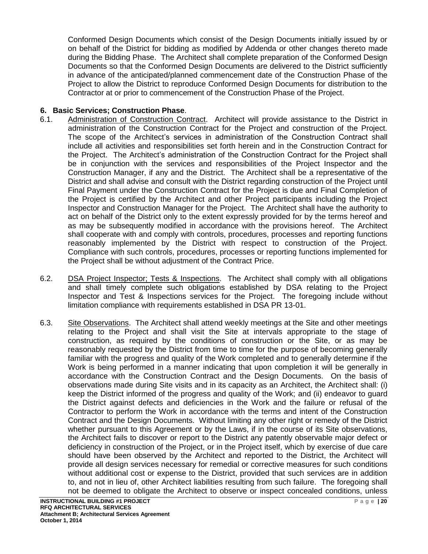Conformed Design Documents which consist of the Design Documents initially issued by or on behalf of the District for bidding as modified by Addenda or other changes thereto made during the Bidding Phase. The Architect shall complete preparation of the Conformed Design Documents so that the Conformed Design Documents are delivered to the District sufficiently in advance of the anticipated/planned commencement date of the Construction Phase of the Project to allow the District to reproduce Conformed Design Documents for distribution to the Contractor at or prior to commencement of the Construction Phase of the Project.

## **6. Basic Services; Construction Phase**.

- 6.1. Administration of Construction Contract. Architect will provide assistance to the District in administration of the Construction Contract for the Project and construction of the Project. The scope of the Architect's services in administration of the Construction Contract shall include all activities and responsibilities set forth herein and in the Construction Contract for the Project. The Architect's administration of the Construction Contract for the Project shall be in conjunction with the services and responsibilities of the Project Inspector and the Construction Manager, if any and the District. The Architect shall be a representative of the District and shall advise and consult with the District regarding construction of the Project until Final Payment under the Construction Contract for the Project is due and Final Completion of the Project is certified by the Architect and other Project participants including the Project Inspector and Construction Manager for the Project. The Architect shall have the authority to act on behalf of the District only to the extent expressly provided for by the terms hereof and as may be subsequently modified in accordance with the provisions hereof. The Architect shall cooperate with and comply with controls, procedures, processes and reporting functions reasonably implemented by the District with respect to construction of the Project. Compliance with such controls, procedures, processes or reporting functions implemented for the Project shall be without adjustment of the Contract Price.
- 6.2. DSA Project Inspector; Tests & Inspections. The Architect shall comply with all obligations and shall timely complete such obligations established by DSA relating to the Project Inspector and Test & Inspections services for the Project. The foregoing include without limitation compliance with requirements established in DSA PR 13-01.
- 6.3. Site Observations. The Architect shall attend weekly meetings at the Site and other meetings relating to the Project and shall visit the Site at intervals appropriate to the stage of construction, as required by the conditions of construction or the Site, or as may be reasonably requested by the District from time to time for the purpose of becoming generally familiar with the progress and quality of the Work completed and to generally determine if the Work is being performed in a manner indicating that upon completion it will be generally in accordance with the Construction Contract and the Design Documents. On the basis of observations made during Site visits and in its capacity as an Architect, the Architect shall: (i) keep the District informed of the progress and quality of the Work; and (ii) endeavor to guard the District against defects and deficiencies in the Work and the failure or refusal of the Contractor to perform the Work in accordance with the terms and intent of the Construction Contract and the Design Documents. Without limiting any other right or remedy of the District whether pursuant to this Agreement or by the Laws, if in the course of its Site observations, the Architect fails to discover or report to the District any patently observable major defect or deficiency in construction of the Project, or in the Project itself, which by exercise of due care should have been observed by the Architect and reported to the District, the Architect will provide all design services necessary for remedial or corrective measures for such conditions without additional cost or expense to the District, provided that such services are in addition to, and not in lieu of, other Architect liabilities resulting from such failure. The foregoing shall not be deemed to obligate the Architect to observe or inspect concealed conditions, unless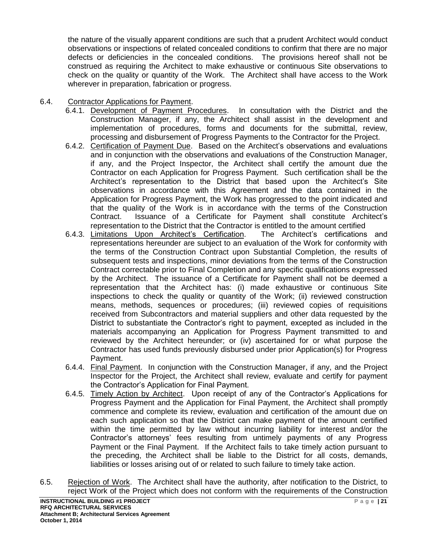the nature of the visually apparent conditions are such that a prudent Architect would conduct observations or inspections of related concealed conditions to confirm that there are no major defects or deficiencies in the concealed conditions. The provisions hereof shall not be construed as requiring the Architect to make exhaustive or continuous Site observations to check on the quality or quantity of the Work. The Architect shall have access to the Work wherever in preparation, fabrication or progress.

### 6.4. Contractor Applications for Payment.

- 6.4.1. Development of Payment Procedures. In consultation with the District and the Construction Manager, if any, the Architect shall assist in the development and implementation of procedures, forms and documents for the submittal, review, processing and disbursement of Progress Payments to the Contractor for the Project.
- 6.4.2. Certification of Payment Due. Based on the Architect's observations and evaluations and in conjunction with the observations and evaluations of the Construction Manager, if any, and the Project Inspector, the Architect shall certify the amount due the Contractor on each Application for Progress Payment. Such certification shall be the Architect's representation to the District that based upon the Architect's Site observations in accordance with this Agreement and the data contained in the Application for Progress Payment, the Work has progressed to the point indicated and that the quality of the Work is in accordance with the terms of the Construction Contract. Issuance of a Certificate for Payment shall constitute Architect's representation to the District that the Contractor is entitled to the amount certified
- 6.4.3. Limitations Upon Architect's Certification. The Architect's certifications and representations hereunder are subject to an evaluation of the Work for conformity with the terms of the Construction Contract upon Substantial Completion, the results of subsequent tests and inspections, minor deviations from the terms of the Construction Contract correctable prior to Final Completion and any specific qualifications expressed by the Architect. The issuance of a Certificate for Payment shall not be deemed a representation that the Architect has: (i) made exhaustive or continuous Site inspections to check the quality or quantity of the Work; (ii) reviewed construction means, methods, sequences or procedures; (iii) reviewed copies of requisitions received from Subcontractors and material suppliers and other data requested by the District to substantiate the Contractor's right to payment, excepted as included in the materials accompanying an Application for Progress Payment transmitted to and reviewed by the Architect hereunder; or (iv) ascertained for or what purpose the Contractor has used funds previously disbursed under prior Application(s) for Progress Payment.
- 6.4.4. Final Payment. In conjunction with the Construction Manager, if any, and the Project Inspector for the Project, the Architect shall review, evaluate and certify for payment the Contractor's Application for Final Payment.
- 6.4.5. Timely Action by Architect. Upon receipt of any of the Contractor's Applications for Progress Payment and the Application for Final Payment, the Architect shall promptly commence and complete its review, evaluation and certification of the amount due on each such application so that the District can make payment of the amount certified within the time permitted by law without incurring liability for interest and/or the Contractor's attorneys' fees resulting from untimely payments of any Progress Payment or the Final Payment. If the Architect fails to take timely action pursuant to the preceding, the Architect shall be liable to the District for all costs, demands, liabilities or losses arising out of or related to such failure to timely take action.
- 6.5. Rejection of Work. The Architect shall have the authority, after notification to the District, to reject Work of the Project which does not conform with the requirements of the Construction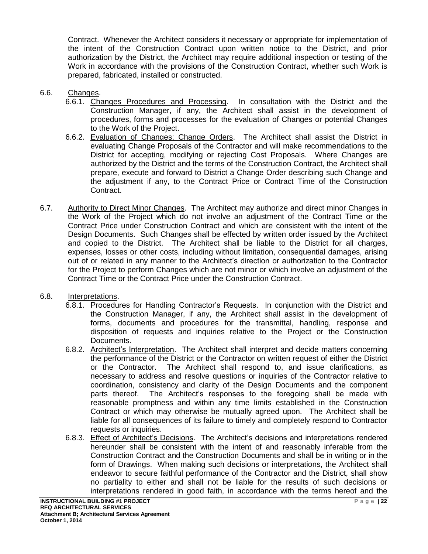Contract. Whenever the Architect considers it necessary or appropriate for implementation of the intent of the Construction Contract upon written notice to the District, and prior authorization by the District, the Architect may require additional inspection or testing of the Work in accordance with the provisions of the Construction Contract, whether such Work is prepared, fabricated, installed or constructed.

- 6.6. Changes.
	- 6.6.1. Changes Procedures and Processing. In consultation with the District and the Construction Manager, if any, the Architect shall assist in the development of procedures, forms and processes for the evaluation of Changes or potential Changes to the Work of the Project.
	- 6.6.2. Evaluation of Changes; Change Orders. The Architect shall assist the District in evaluating Change Proposals of the Contractor and will make recommendations to the District for accepting, modifying or rejecting Cost Proposals. Where Changes are authorized by the District and the terms of the Construction Contract, the Architect shall prepare, execute and forward to District a Change Order describing such Change and the adjustment if any, to the Contract Price or Contract Time of the Construction Contract.
- 6.7. Authority to Direct Minor Changes. The Architect may authorize and direct minor Changes in the Work of the Project which do not involve an adjustment of the Contract Time or the Contract Price under Construction Contract and which are consistent with the intent of the Design Documents. Such Changes shall be effected by written order issued by the Architect and copied to the District. The Architect shall be liable to the District for all charges, expenses, losses or other costs, including without limitation, consequential damages, arising out of or related in any manner to the Architect's direction or authorization to the Contractor for the Project to perform Changes which are not minor or which involve an adjustment of the Contract Time or the Contract Price under the Construction Contract.
- 6.8. Interpretations.
	- 6.8.1. Procedures for Handling Contractor's Requests. In conjunction with the District and the Construction Manager, if any, the Architect shall assist in the development of forms, documents and procedures for the transmittal, handling, response and disposition of requests and inquiries relative to the Project or the Construction Documents.
	- 6.8.2. Architect's Interpretation. The Architect shall interpret and decide matters concerning the performance of the District or the Contractor on written request of either the District or the Contractor. The Architect shall respond to, and issue clarifications, as necessary to address and resolve questions or inquiries of the Contractor relative to coordination, consistency and clarity of the Design Documents and the component parts thereof. The Architect's responses to the foregoing shall be made with reasonable promptness and within any time limits established in the Construction Contract or which may otherwise be mutually agreed upon. The Architect shall be liable for all consequences of its failure to timely and completely respond to Contractor requests or inquiries.
	- 6.8.3. Effect of Architect's Decisions. The Architect's decisions and interpretations rendered hereunder shall be consistent with the intent of and reasonably inferable from the Construction Contract and the Construction Documents and shall be in writing or in the form of Drawings. When making such decisions or interpretations, the Architect shall endeavor to secure faithful performance of the Contractor and the District, shall show no partiality to either and shall not be liable for the results of such decisions or interpretations rendered in good faith, in accordance with the terms hereof and the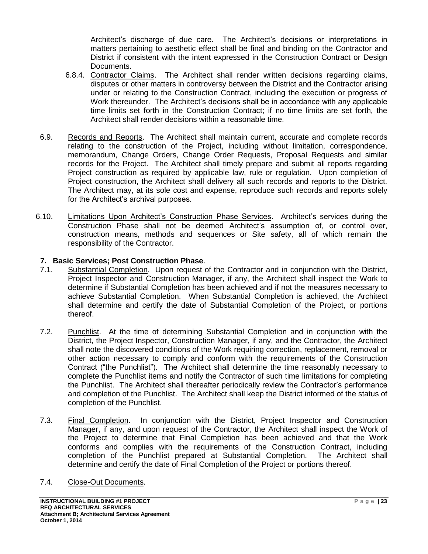Architect's discharge of due care. The Architect's decisions or interpretations in matters pertaining to aesthetic effect shall be final and binding on the Contractor and District if consistent with the intent expressed in the Construction Contract or Design Documents.

- 6.8.4. Contractor Claims. The Architect shall render written decisions regarding claims, disputes or other matters in controversy between the District and the Contractor arising under or relating to the Construction Contract, including the execution or progress of Work thereunder. The Architect's decisions shall be in accordance with any applicable time limits set forth in the Construction Contract; if no time limits are set forth, the Architect shall render decisions within a reasonable time.
- 6.9. Records and Reports. The Architect shall maintain current, accurate and complete records relating to the construction of the Project, including without limitation, correspondence, memorandum, Change Orders, Change Order Requests, Proposal Requests and similar records for the Project. The Architect shall timely prepare and submit all reports regarding Project construction as required by applicable law, rule or regulation. Upon completion of Project construction, the Architect shall delivery all such records and reports to the District. The Architect may, at its sole cost and expense, reproduce such records and reports solely for the Architect's archival purposes.
- 6.10. Limitations Upon Architect's Construction Phase Services. Architect's services during the Construction Phase shall not be deemed Architect's assumption of, or control over, construction means, methods and sequences or Site safety, all of which remain the responsibility of the Contractor.

### **7. Basic Services; Post Construction Phase**.

- 7.1. Substantial Completion. Upon request of the Contractor and in conjunction with the District, Project Inspector and Construction Manager, if any, the Architect shall inspect the Work to determine if Substantial Completion has been achieved and if not the measures necessary to achieve Substantial Completion. When Substantial Completion is achieved, the Architect shall determine and certify the date of Substantial Completion of the Project, or portions thereof.
- 7.2. Punchlist. At the time of determining Substantial Completion and in conjunction with the District, the Project Inspector, Construction Manager, if any, and the Contractor, the Architect shall note the discovered conditions of the Work requiring correction, replacement, removal or other action necessary to comply and conform with the requirements of the Construction Contract ("the Punchlist"). The Architect shall determine the time reasonably necessary to complete the Punchlist items and notify the Contractor of such time limitations for completing the Punchlist. The Architect shall thereafter periodically review the Contractor's performance and completion of the Punchlist. The Architect shall keep the District informed of the status of completion of the Punchlist.
- 7.3. Final Completion. In conjunction with the District, Project Inspector and Construction Manager, if any, and upon request of the Contractor, the Architect shall inspect the Work of the Project to determine that Final Completion has been achieved and that the Work conforms and complies with the requirements of the Construction Contract, including completion of the Punchlist prepared at Substantial Completion. The Architect shall determine and certify the date of Final Completion of the Project or portions thereof.
- 7.4. Close-Out Documents.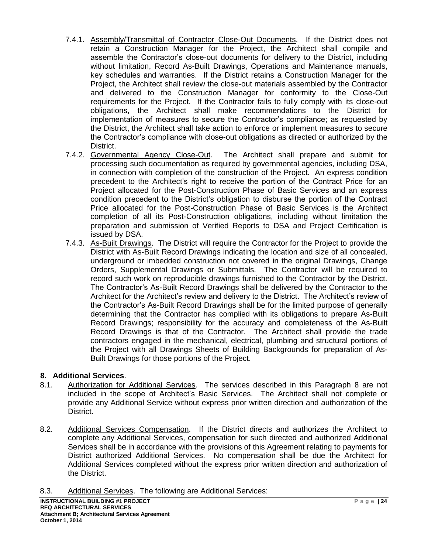- 7.4.1. Assembly/Transmittal of Contractor Close-Out Documents. If the District does not retain a Construction Manager for the Project, the Architect shall compile and assemble the Contractor's close-out documents for delivery to the District, including without limitation, Record As-Built Drawings, Operations and Maintenance manuals, key schedules and warranties. If the District retains a Construction Manager for the Project, the Architect shall review the close-out materials assembled by the Contractor and delivered to the Construction Manager for conformity to the Close-Out requirements for the Project. If the Contractor fails to fully comply with its close-out obligations, the Architect shall make recommendations to the District for implementation of measures to secure the Contractor's compliance; as requested by the District, the Architect shall take action to enforce or implement measures to secure the Contractor's compliance with close-out obligations as directed or authorized by the District.
- 7.4.2. Governmental Agency Close-Out. The Architect shall prepare and submit for processing such documentation as required by governmental agencies, including DSA, in connection with completion of the construction of the Project. An express condition precedent to the Architect's right to receive the portion of the Contract Price for an Project allocated for the Post-Construction Phase of Basic Services and an express condition precedent to the District's obligation to disburse the portion of the Contract Price allocated for the Post-Construction Phase of Basic Services is the Architect completion of all its Post-Construction obligations, including without limitation the preparation and submission of Verified Reports to DSA and Project Certification is issued by DSA.
- 7.4.3. As-Built Drawings. The District will require the Contractor for the Project to provide the District with As-Built Record Drawings indicating the location and size of all concealed, underground or imbedded construction not covered in the original Drawings, Change Orders, Supplemental Drawings or Submittals. The Contractor will be required to record such work on reproducible drawings furnished to the Contractor by the District. The Contractor's As-Built Record Drawings shall be delivered by the Contractor to the Architect for the Architect's review and delivery to the District. The Architect's review of the Contractor's As-Built Record Drawings shall be for the limited purpose of generally determining that the Contractor has complied with its obligations to prepare As-Built Record Drawings; responsibility for the accuracy and completeness of the As-Built Record Drawings is that of the Contractor. The Architect shall provide the trade contractors engaged in the mechanical, electrical, plumbing and structural portions of the Project with all Drawings Sheets of Building Backgrounds for preparation of As-Built Drawings for those portions of the Project.

# **8. Additional Services**.

- 8.1. Authorization for Additional Services. The services described in this Paragraph 8 are not included in the scope of Architect's Basic Services. The Architect shall not complete or provide any Additional Service without express prior written direction and authorization of the District.
- 8.2. Additional Services Compensation. If the District directs and authorizes the Architect to complete any Additional Services, compensation for such directed and authorized Additional Services shall be in accordance with the provisions of this Agreement relating to payments for District authorized Additional Services. No compensation shall be due the Architect for Additional Services completed without the express prior written direction and authorization of the District.
- 8.3. Additional Services. The following are Additional Services: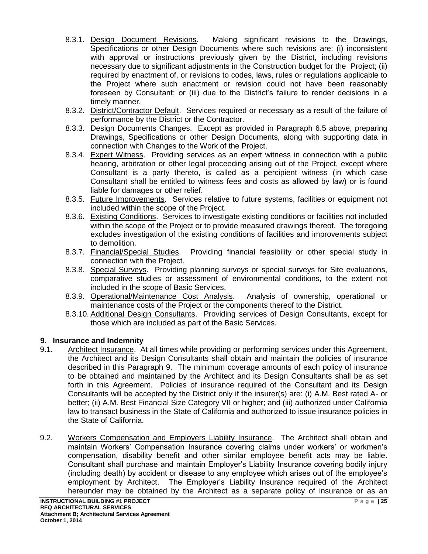- 8.3.1. Design Document Revisions. Making significant revisions to the Drawings, Specifications or other Design Documents where such revisions are: (i) inconsistent with approval or instructions previously given by the District, including revisions necessary due to significant adjustments in the Construction budget for the Project; (ii) required by enactment of, or revisions to codes, laws, rules or regulations applicable to the Project where such enactment or revision could not have been reasonably foreseen by Consultant; or (iii) due to the District's failure to render decisions in a timely manner.
- 8.3.2. District/Contractor Default. Services required or necessary as a result of the failure of performance by the District or the Contractor.
- 8.3.3. Design Documents Changes. Except as provided in Paragraph 6.5 above, preparing Drawings, Specifications or other Design Documents, along with supporting data in connection with Changes to the Work of the Project.
- 8.3.4. Expert Witness. Providing services as an expert witness in connection with a public hearing, arbitration or other legal proceeding arising out of the Project, except where Consultant is a party thereto, is called as a percipient witness (in which case Consultant shall be entitled to witness fees and costs as allowed by law) or is found liable for damages or other relief.
- 8.3.5. Future Improvements. Services relative to future systems, facilities or equipment not included within the scope of the Project.
- 8.3.6. Existing Conditions. Services to investigate existing conditions or facilities not included within the scope of the Project or to provide measured drawings thereof. The foregoing excludes investigation of the existing conditions of facilities and improvements subject to demolition.
- 8.3.7. Financial/Special Studies. Providing financial feasibility or other special study in connection with the Project.
- 8.3.8. Special Surveys. Providing planning surveys or special surveys for Site evaluations, comparative studies or assessment of environmental conditions, to the extent not included in the scope of Basic Services.
- 8.3.9. Operational/Maintenance Cost Analysis. Analysis of ownership, operational or maintenance costs of the Project or the components thereof to the District.
- 8.3.10. Additional Design Consultants. Providing services of Design Consultants, except for those which are included as part of the Basic Services.

### **9. Insurance and Indemnity**

- 9.1. Architect Insurance. At all times while providing or performing services under this Agreement, the Architect and its Design Consultants shall obtain and maintain the policies of insurance described in this Paragraph 9. The minimum coverage amounts of each policy of insurance to be obtained and maintained by the Architect and its Design Consultants shall be as set forth in this Agreement. Policies of insurance required of the Consultant and its Design Consultants will be accepted by the District only if the insurer(s) are: (i) A.M. Best rated A- or better; (ii) A.M. Best Financial Size Category VII or higher; and (iii) authorized under California law to transact business in the State of California and authorized to issue insurance policies in the State of California.
- 9.2. Workers Compensation and Employers Liability Insurance. The Architect shall obtain and maintain Workers' Compensation Insurance covering claims under workers' or workmen's compensation, disability benefit and other similar employee benefit acts may be liable. Consultant shall purchase and maintain Employer's Liability Insurance covering bodily injury (including death) by accident or disease to any employee which arises out of the employee's employment by Architect. The Employer's Liability Insurance required of the Architect hereunder may be obtained by the Architect as a separate policy of insurance or as an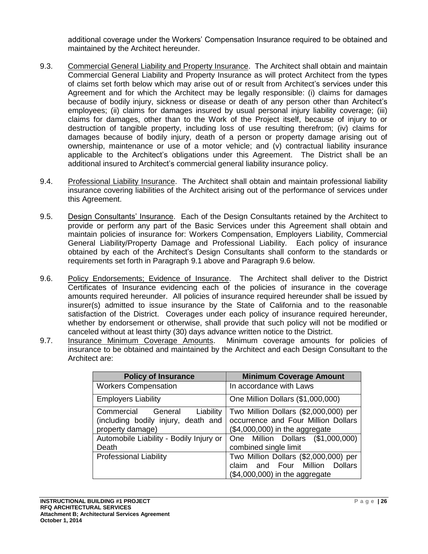additional coverage under the Workers' Compensation Insurance required to be obtained and maintained by the Architect hereunder.

- 9.3. Commercial General Liability and Property Insurance. The Architect shall obtain and maintain Commercial General Liability and Property Insurance as will protect Architect from the types of claims set forth below which may arise out of or result from Architect's services under this Agreement and for which the Architect may be legally responsible: (i) claims for damages because of bodily injury, sickness or disease or death of any person other than Architect's employees; (ii) claims for damages insured by usual personal injury liability coverage; (iii) claims for damages, other than to the Work of the Project itself, because of injury to or destruction of tangible property, including loss of use resulting therefrom; (iv) claims for damages because of bodily injury, death of a person or property damage arising out of ownership, maintenance or use of a motor vehicle; and (v) contractual liability insurance applicable to the Architect's obligations under this Agreement. The District shall be an additional insured to Architect's commercial general liability insurance policy.
- 9.4. Professional Liability Insurance. The Architect shall obtain and maintain professional liability insurance covering liabilities of the Architect arising out of the performance of services under this Agreement.
- 9.5. Design Consultants' Insurance. Each of the Design Consultants retained by the Architect to provide or perform any part of the Basic Services under this Agreement shall obtain and maintain policies of insurance for: Workers Compensation, Employers Liability, Commercial General Liability/Property Damage and Professional Liability. Each policy of insurance obtained by each of the Architect's Design Consultants shall conform to the standards or requirements set forth in Paragraph 9.1 above and Paragraph 9.6 below.
- 9.6. Policy Endorsements; Evidence of Insurance. The Architect shall deliver to the District Certificates of Insurance evidencing each of the policies of insurance in the coverage amounts required hereunder. All policies of insurance required hereunder shall be issued by insurer(s) admitted to issue insurance by the State of California and to the reasonable satisfaction of the District. Coverages under each policy of insurance required hereunder, whether by endorsement or otherwise, shall provide that such policy will not be modified or canceled without at least thirty (30) days advance written notice to the District.
- 9.7. Insurance Minimum Coverage Amounts. Minimum coverage amounts for policies of insurance to be obtained and maintained by the Architect and each Design Consultant to the Architect are:

| <b>Policy of Insurance</b>              | <b>Minimum Coverage Amount</b>        |  |  |
|-----------------------------------------|---------------------------------------|--|--|
| <b>Workers Compensation</b>             | In accordance with Laws               |  |  |
| <b>Employers Liability</b>              | One Million Dollars (\$1,000,000)     |  |  |
| Commercial General Liability            | Two Million Dollars (\$2,000,000) per |  |  |
| (including bodily injury, death and     | occurrence and Four Million Dollars   |  |  |
| property damage)                        | $($4,000,000)$ in the aggregate       |  |  |
| Automobile Liability - Bodily Injury or | One Million Dollars (\$1,000,000)     |  |  |
| Death                                   | combined single limit                 |  |  |
| <b>Professional Liability</b>           | Two Million Dollars (\$2,000,000) per |  |  |
|                                         | and Four Million Dollars<br>claim     |  |  |
|                                         | $($4,000,000)$ in the aggregate       |  |  |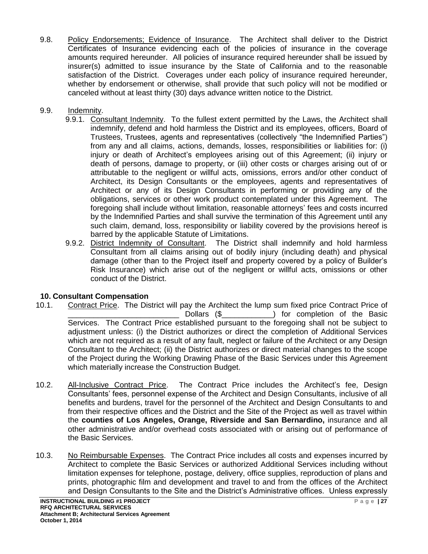9.8. Policy Endorsements; Evidence of Insurance. The Architect shall deliver to the District Certificates of Insurance evidencing each of the policies of insurance in the coverage amounts required hereunder. All policies of insurance required hereunder shall be issued by insurer(s) admitted to issue insurance by the State of California and to the reasonable satisfaction of the District. Coverages under each policy of insurance required hereunder, whether by endorsement or otherwise, shall provide that such policy will not be modified or canceled without at least thirty (30) days advance written notice to the District.

## 9.9. Indemnity.

- 9.9.1. Consultant Indemnity. To the fullest extent permitted by the Laws, the Architect shall indemnify, defend and hold harmless the District and its employees, officers, Board of Trustees, Trustees, agents and representatives (collectively "the Indemnified Parties") from any and all claims, actions, demands, losses, responsibilities or liabilities for: (i) injury or death of Architect's employees arising out of this Agreement; (ii) injury or death of persons, damage to property, or (iii) other costs or charges arising out of or attributable to the negligent or willful acts, omissions, errors and/or other conduct of Architect, its Design Consultants or the employees, agents and representatives of Architect or any of its Design Consultants in performing or providing any of the obligations, services or other work product contemplated under this Agreement. The foregoing shall include without limitation, reasonable attorneys' fees and costs incurred by the Indemnified Parties and shall survive the termination of this Agreement until any such claim, demand, loss, responsibility or liability covered by the provisions hereof is barred by the applicable Statute of Limitations.
- 9.9.2. District Indemnity of Consultant. The District shall indemnify and hold harmless Consultant from all claims arising out of bodily injury (including death) and physical damage (other than to the Project itself and property covered by a policy of Builder's Risk Insurance) which arise out of the negligent or willful acts, omissions or other conduct of the District.

# **10. Consultant Compensation**

- 10.1. Contract Price. The District will pay the Architect the lump sum fixed price Contract Price of Dollars (\$\_\_\_\_\_\_\_\_\_\_\_\_\_\_) for completion of the Basic Services. The Contract Price established pursuant to the foregoing shall not be subject to adjustment unless: (i) the District authorizes or direct the completion of Additional Services which are not required as a result of any fault, neglect or failure of the Architect or any Design Consultant to the Architect; (ii) the District authorizes or direct material changes to the scope of the Project during the Working Drawing Phase of the Basic Services under this Agreement which materially increase the Construction Budget.
- 10.2. All-Inclusive Contract Price. The Contract Price includes the Architect's fee, Design Consultants' fees, personnel expense of the Architect and Design Consultants, inclusive of all benefits and burdens, travel for the personnel of the Architect and Design Consultants to and from their respective offices and the District and the Site of the Project as well as travel within the **counties of Los Angeles, Orange, Riverside and San Bernardino,** insurance and all other administrative and/or overhead costs associated with or arising out of performance of the Basic Services.
- 10.3. No Reimbursable Expenses. The Contract Price includes all costs and expenses incurred by Architect to complete the Basic Services or authorized Additional Services including without limitation expenses for telephone, postage, delivery, office supplies, reproduction of plans and prints, photographic film and development and travel to and from the offices of the Architect and Design Consultants to the Site and the District's Administrative offices. Unless expressly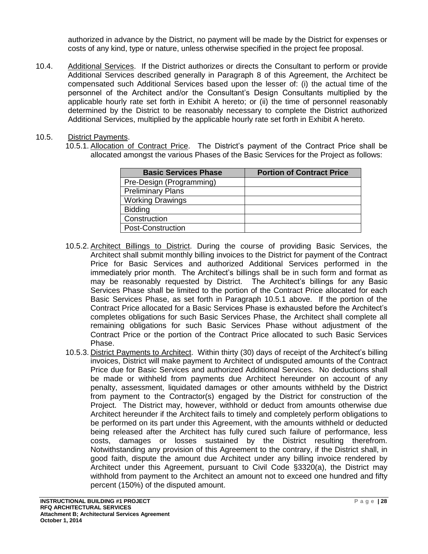authorized in advance by the District, no payment will be made by the District for expenses or costs of any kind, type or nature, unless otherwise specified in the project fee proposal.

10.4. Additional Services. If the District authorizes or directs the Consultant to perform or provide Additional Services described generally in Paragraph 8 of this Agreement, the Architect be compensated such Additional Services based upon the lesser of: (i) the actual time of the personnel of the Architect and/or the Consultant's Design Consultants multiplied by the applicable hourly rate set forth in Exhibit A hereto; or (ii) the time of personnel reasonably determined by the District to be reasonably necessary to complete the District authorized Additional Services, multiplied by the applicable hourly rate set forth in Exhibit A hereto.

### 10.5. District Payments.

10.5.1. Allocation of Contract Price. The District's payment of the Contract Price shall be allocated amongst the various Phases of the Basic Services for the Project as follows:

| <b>Basic Services Phase</b> | <b>Portion of Contract Price</b> |
|-----------------------------|----------------------------------|
| Pre-Design (Programming)    |                                  |
| <b>Preliminary Plans</b>    |                                  |
| <b>Working Drawings</b>     |                                  |
| <b>Bidding</b>              |                                  |
| Construction                |                                  |
| Post-Construction           |                                  |

- 10.5.2. Architect Billings to District. During the course of providing Basic Services, the Architect shall submit monthly billing invoices to the District for payment of the Contract Price for Basic Services and authorized Additional Services performed in the immediately prior month. The Architect's billings shall be in such form and format as may be reasonably requested by District. The Architect's billings for any Basic Services Phase shall be limited to the portion of the Contract Price allocated for each Basic Services Phase, as set forth in Paragraph 10.5.1 above. If the portion of the Contract Price allocated for a Basic Services Phase is exhausted before the Architect's completes obligations for such Basic Services Phase, the Architect shall complete all remaining obligations for such Basic Services Phase without adjustment of the Contract Price or the portion of the Contract Price allocated to such Basic Services Phase.
- 10.5.3. District Payments to Architect. Within thirty (30) days of receipt of the Architect's billing invoices, District will make payment to Architect of undisputed amounts of the Contract Price due for Basic Services and authorized Additional Services. No deductions shall be made or withheld from payments due Architect hereunder on account of any penalty, assessment, liquidated damages or other amounts withheld by the District from payment to the Contractor(s) engaged by the District for construction of the Project. The District may, however, withhold or deduct from amounts otherwise due Architect hereunder if the Architect fails to timely and completely perform obligations to be performed on its part under this Agreement, with the amounts withheld or deducted being released after the Architect has fully cured such failure of performance, less costs, damages or losses sustained by the District resulting therefrom. Notwithstanding any provision of this Agreement to the contrary, if the District shall, in good faith, dispute the amount due Architect under any billing invoice rendered by Architect under this Agreement, pursuant to Civil Code §3320(a), the District may withhold from payment to the Architect an amount not to exceed one hundred and fifty percent (150%) of the disputed amount.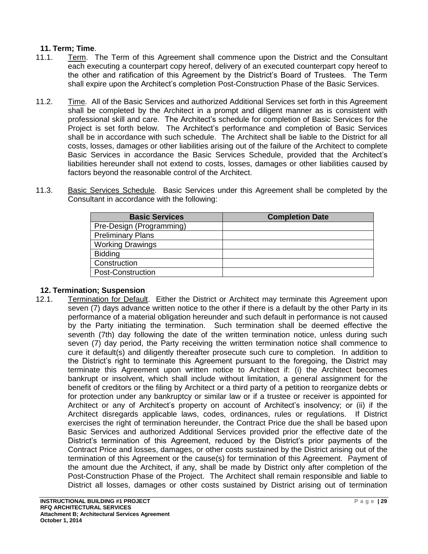### **11. Term; Time**.

- 11.1. Term. The Term of this Agreement shall commence upon the District and the Consultant each executing a counterpart copy hereof, delivery of an executed counterpart copy hereof to the other and ratification of this Agreement by the District's Board of Trustees. The Term shall expire upon the Architect's completion Post-Construction Phase of the Basic Services.
- 11.2. Time. All of the Basic Services and authorized Additional Services set forth in this Agreement shall be completed by the Architect in a prompt and diligent manner as is consistent with professional skill and care. The Architect's schedule for completion of Basic Services for the Project is set forth below. The Architect's performance and completion of Basic Services shall be in accordance with such schedule. The Architect shall be liable to the District for all costs, losses, damages or other liabilities arising out of the failure of the Architect to complete Basic Services in accordance the Basic Services Schedule, provided that the Architect's liabilities hereunder shall not extend to costs, losses, damages or other liabilities caused by factors beyond the reasonable control of the Architect.
- 11.3. Basic Services Schedule. Basic Services under this Agreement shall be completed by the Consultant in accordance with the following:

| <b>Basic Services</b>    | <b>Completion Date</b> |
|--------------------------|------------------------|
| Pre-Design (Programming) |                        |
| <b>Preliminary Plans</b> |                        |
| <b>Working Drawings</b>  |                        |
| <b>Bidding</b>           |                        |
| Construction             |                        |
| Post-Construction        |                        |

#### **12. Termination; Suspension**

12.1. Termination for Default. Either the District or Architect may terminate this Agreement upon seven (7) days advance written notice to the other if there is a default by the other Party in its performance of a material obligation hereunder and such default in performance is not caused by the Party initiating the termination. Such termination shall be deemed effective the seventh (7th) day following the date of the written termination notice, unless during such seven (7) day period, the Party receiving the written termination notice shall commence to cure it default(s) and diligently thereafter prosecute such cure to completion. In addition to the District's right to terminate this Agreement pursuant to the foregoing, the District may terminate this Agreement upon written notice to Architect if: (i) the Architect becomes bankrupt or insolvent, which shall include without limitation, a general assignment for the benefit of creditors or the filing by Architect or a third party of a petition to reorganize debts or for protection under any bankruptcy or similar law or if a trustee or receiver is appointed for Architect or any of Architect's property on account of Architect's insolvency; or (ii) if the Architect disregards applicable laws, codes, ordinances, rules or regulations. If District exercises the right of termination hereunder, the Contract Price due the shall be based upon Basic Services and authorized Additional Services provided prior the effective date of the District's termination of this Agreement, reduced by the District's prior payments of the Contract Price and losses, damages, or other costs sustained by the District arising out of the termination of this Agreement or the cause(s) for termination of this Agreement. Payment of the amount due the Architect, if any, shall be made by District only after completion of the Post-Construction Phase of the Project. The Architect shall remain responsible and liable to District all losses, damages or other costs sustained by District arising out of termination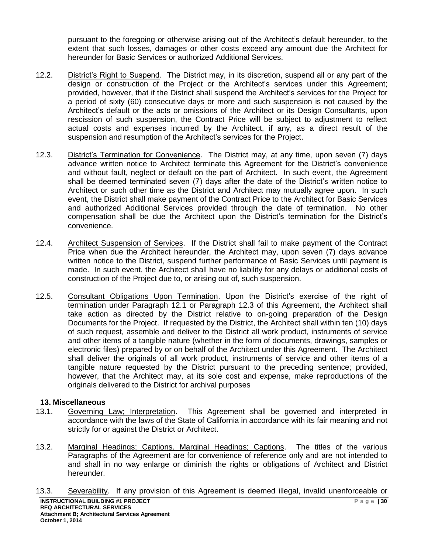pursuant to the foregoing or otherwise arising out of the Architect's default hereunder, to the extent that such losses, damages or other costs exceed any amount due the Architect for hereunder for Basic Services or authorized Additional Services.

- 12.2. District's Right to Suspend. The District may, in its discretion, suspend all or any part of the design or construction of the Project or the Architect's services under this Agreement; provided, however, that if the District shall suspend the Architect's services for the Project for a period of sixty (60) consecutive days or more and such suspension is not caused by the Architect's default or the acts or omissions of the Architect or its Design Consultants, upon rescission of such suspension, the Contract Price will be subject to adjustment to reflect actual costs and expenses incurred by the Architect, if any, as a direct result of the suspension and resumption of the Architect's services for the Project.
- 12.3. District's Termination for Convenience. The District may, at any time, upon seven (7) days advance written notice to Architect terminate this Agreement for the District's convenience and without fault, neglect or default on the part of Architect. In such event, the Agreement shall be deemed terminated seven (7) days after the date of the District's written notice to Architect or such other time as the District and Architect may mutually agree upon. In such event, the District shall make payment of the Contract Price to the Architect for Basic Services and authorized Additional Services provided through the date of termination. No other compensation shall be due the Architect upon the District's termination for the District's convenience.
- 12.4. Architect Suspension of Services. If the District shall fail to make payment of the Contract Price when due the Architect hereunder, the Architect may, upon seven (7) days advance written notice to the District, suspend further performance of Basic Services until payment is made. In such event, the Architect shall have no liability for any delays or additional costs of construction of the Project due to, or arising out of, such suspension.
- 12.5. Consultant Obligations Upon Termination. Upon the District's exercise of the right of termination under Paragraph 12.1 or Paragraph 12.3 of this Agreement, the Architect shall take action as directed by the District relative to on-going preparation of the Design Documents for the Project. If requested by the District, the Architect shall within ten (10) days of such request, assemble and deliver to the District all work product, instruments of service and other items of a tangible nature (whether in the form of documents, drawings, samples or electronic files) prepared by or on behalf of the Architect under this Agreement. The Architect shall deliver the originals of all work product, instruments of service and other items of a tangible nature requested by the District pursuant to the preceding sentence; provided, however, that the Architect may, at its sole cost and expense, make reproductions of the originals delivered to the District for archival purposes

### **13. Miscellaneous**

- 13.1. Governing Law; Interpretation. This Agreement shall be governed and interpreted in accordance with the laws of the State of California in accordance with its fair meaning and not strictly for or against the District or Architect.
- 13.2. Marginal Headings; Captions. Marginal Headings; Captions. The titles of the various Paragraphs of the Agreement are for convenience of reference only and are not intended to and shall in no way enlarge or diminish the rights or obligations of Architect and District hereunder.
- 13.3. Severability. If any provision of this Agreement is deemed illegal, invalid unenforceable or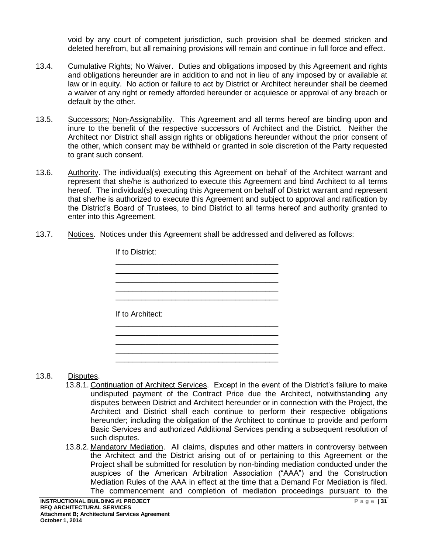void by any court of competent jurisdiction, such provision shall be deemed stricken and deleted herefrom, but all remaining provisions will remain and continue in full force and effect.

- 13.4. Cumulative Rights; No Waiver. Duties and obligations imposed by this Agreement and rights and obligations hereunder are in addition to and not in lieu of any imposed by or available at law or in equity. No action or failure to act by District or Architect hereunder shall be deemed a waiver of any right or remedy afforded hereunder or acquiesce or approval of any breach or default by the other.
- 13.5. Successors; Non-Assignability. This Agreement and all terms hereof are binding upon and inure to the benefit of the respective successors of Architect and the District. Neither the Architect nor District shall assign rights or obligations hereunder without the prior consent of the other, which consent may be withheld or granted in sole discretion of the Party requested to grant such consent.
- 13.6. Authority. The individual(s) executing this Agreement on behalf of the Architect warrant and represent that she/he is authorized to execute this Agreement and bind Architect to all terms hereof. The individual(s) executing this Agreement on behalf of District warrant and represent that she/he is authorized to execute this Agreement and subject to approval and ratification by the District's Board of Trustees, to bind District to all terms hereof and authority granted to enter into this Agreement.
- 13.7. Notices. Notices under this Agreement shall be addressed and delivered as follows:



#### 13.8. Disputes.

- 13.8.1. Continuation of Architect Services. Except in the event of the District's failure to make undisputed payment of the Contract Price due the Architect, notwithstanding any disputes between District and Architect hereunder or in connection with the Project, the Architect and District shall each continue to perform their respective obligations hereunder; including the obligation of the Architect to continue to provide and perform Basic Services and authorized Additional Services pending a subsequent resolution of such disputes.
- 13.8.2. Mandatory Mediation. All claims, disputes and other matters in controversy between the Architect and the District arising out of or pertaining to this Agreement or the Project shall be submitted for resolution by non-binding mediation conducted under the auspices of the American Arbitration Association ("AAA") and the Construction Mediation Rules of the AAA in effect at the time that a Demand For Mediation is filed. The commencement and completion of mediation proceedings pursuant to the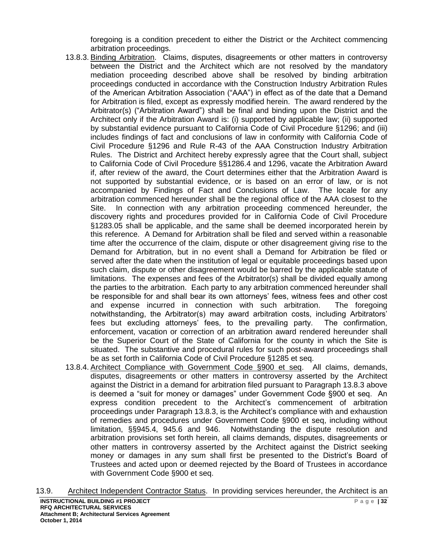foregoing is a condition precedent to either the District or the Architect commencing arbitration proceedings.

- 13.8.3. Binding Arbitration. Claims, disputes, disagreements or other matters in controversy between the District and the Architect which are not resolved by the mandatory mediation proceeding described above shall be resolved by binding arbitration proceedings conducted in accordance with the Construction Industry Arbitration Rules of the American Arbitration Association ("AAA") in effect as of the date that a Demand for Arbitration is filed, except as expressly modified herein. The award rendered by the Arbitrator(s) ("Arbitration Award") shall be final and binding upon the District and the Architect only if the Arbitration Award is: (i) supported by applicable law; (ii) supported by substantial evidence pursuant to California Code of Civil Procedure §1296; and (iii) includes findings of fact and conclusions of law in conformity with California Code of Civil Procedure §1296 and Rule R-43 of the AAA Construction Industry Arbitration Rules. The District and Architect hereby expressly agree that the Court shall, subject to California Code of Civil Procedure §§1286.4 and 1296, vacate the Arbitration Award if, after review of the award, the Court determines either that the Arbitration Award is not supported by substantial evidence, or is based on an error of law, or is not accompanied by Findings of Fact and Conclusions of Law. The locale for any arbitration commenced hereunder shall be the regional office of the AAA closest to the Site. In connection with any arbitration proceeding commenced hereunder, the discovery rights and procedures provided for in California Code of Civil Procedure §1283.05 shall be applicable, and the same shall be deemed incorporated herein by this reference. A Demand for Arbitration shall be filed and served within a reasonable time after the occurrence of the claim, dispute or other disagreement giving rise to the Demand for Arbitration, but in no event shall a Demand for Arbitration be filed or served after the date when the institution of legal or equitable proceedings based upon such claim, dispute or other disagreement would be barred by the applicable statute of limitations. The expenses and fees of the Arbitrator(s) shall be divided equally among the parties to the arbitration. Each party to any arbitration commenced hereunder shall be responsible for and shall bear its own attorneys' fees, witness fees and other cost and expense incurred in connection with such arbitration. The foregoing notwithstanding, the Arbitrator(s) may award arbitration costs, including Arbitrators' fees but excluding attorneys' fees, to the prevailing party. The confirmation, enforcement, vacation or correction of an arbitration award rendered hereunder shall be the Superior Court of the State of California for the county in which the Site is situated. The substantive and procedural rules for such post-award proceedings shall be as set forth in California Code of Civil Procedure §1285 et seq.
- 13.8.4. Architect Compliance with Government Code §900 et seq. All claims, demands, disputes, disagreements or other matters in controversy asserted by the Architect against the District in a demand for arbitration filed pursuant to Paragraph 13.8.3 above is deemed a "suit for money or damages" under Government Code §900 et seq. An express condition precedent to the Architect's commencement of arbitration proceedings under Paragraph 13.8.3, is the Architect's compliance with and exhaustion of remedies and procedures under Government Code §900 et seq, including without limitation, §§945.4, 945.6 and 946. Notwithstanding the dispute resolution and arbitration provisions set forth herein, all claims demands, disputes, disagreements or other matters in controversy asserted by the Architect against the District seeking money or damages in any sum shall first be presented to the District's Board of Trustees and acted upon or deemed rejected by the Board of Trustees in accordance with Government Code §900 et seq.

13.9. Architect Independent Contractor Status. In providing services hereunder, the Architect is an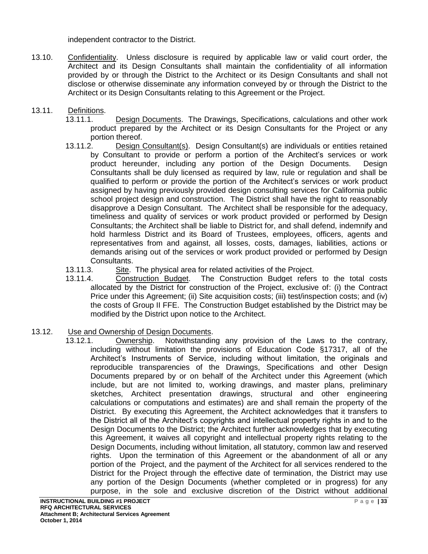independent contractor to the District.

- 13.10. Confidentiality. Unless disclosure is required by applicable law or valid court order, the Architect and its Design Consultants shall maintain the confidentiality of all information provided by or through the District to the Architect or its Design Consultants and shall not disclose or otherwise disseminate any information conveyed by or through the District to the Architect or its Design Consultants relating to this Agreement or the Project.
- 13.11. Definitions.
	- 13.11.1. Design Documents. The Drawings, Specifications, calculations and other work product prepared by the Architect or its Design Consultants for the Project or any portion thereof.
	- 13.11.2. Design Consultant(s). Design Consultant(s) are individuals or entities retained by Consultant to provide or perform a portion of the Architect's services or work product hereunder, including any portion of the Design Documents. Design Consultants shall be duly licensed as required by law, rule or regulation and shall be qualified to perform or provide the portion of the Architect's services or work product assigned by having previously provided design consulting services for California public school project design and construction. The District shall have the right to reasonably disapprove a Design Consultant. The Architect shall be responsible for the adequacy, timeliness and quality of services or work product provided or performed by Design Consultants; the Architect shall be liable to District for, and shall defend, indemnify and hold harmless District and its Board of Trustees, employees, officers, agents and representatives from and against, all losses, costs, damages, liabilities, actions or demands arising out of the services or work product provided or performed by Design Consultants.
	- 13.11.3. Site. The physical area for related activities of the Project.
	- 13.11.4. Construction Budget. The Construction Budget refers to the total costs allocated by the District for construction of the Project, exclusive of: (i) the Contract Price under this Agreement; (ii) Site acquisition costs; (iii) test/inspection costs; and (iv) the costs of Group II FFE. The Construction Budget established by the District may be modified by the District upon notice to the Architect.

### 13.12. Use and Ownership of Design Documents.

13.12.1. Ownership. Notwithstanding any provision of the Laws to the contrary, including without limitation the provisions of Education Code §17317, all of the Architect's Instruments of Service, including without limitation, the originals and reproducible transparencies of the Drawings, Specifications and other Design Documents prepared by or on behalf of the Architect under this Agreement (which include, but are not limited to, working drawings, and master plans, preliminary sketches, Architect presentation drawings, structural and other engineering calculations or computations and estimates) are and shall remain the property of the District. By executing this Agreement, the Architect acknowledges that it transfers to the District all of the Architect's copyrights and intellectual property rights in and to the Design Documents to the District; the Architect further acknowledges that by executing this Agreement, it waives all copyright and intellectual property rights relating to the Design Documents, including without limitation, all statutory, common law and reserved rights. Upon the termination of this Agreement or the abandonment of all or any portion of the Project, and the payment of the Architect for all services rendered to the District for the Project through the effective date of termination, the District may use any portion of the Design Documents (whether completed or in progress) for any purpose, in the sole and exclusive discretion of the District without additional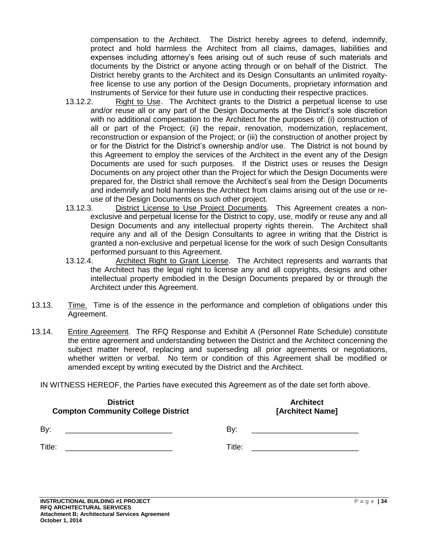compensation to the Architect. The District hereby agrees to defend, indemnify, protect and hold harmless the Architect from all claims, damages, liabilities and expenses including attorney's fees arising out of such reuse of such materials and documents by the District or anyone acting through or on behalf of the District. The District hereby grants to the Architect and its Design Consultants an unlimited royaltyfree license to use any portion of the Design Documents, proprietary information and Instruments of Service for their future use in conducting their respective practices.

- 13.12.2. Right to Use. The Architect grants to the District a perpetual license to use and/or reuse all or any part of the Design Documents at the District's sole discretion with no additional compensation to the Architect for the purposes of: (i) construction of all or part of the Project; (ii) the repair, renovation, modernization, replacement, reconstruction or expansion of the Project; or (iii) the construction of another project by or for the District for the District's ownership and/or use. The District is not bound by this Agreement to employ the services of the Architect in the event any of the Design Documents are used for such purposes. If the District uses or reuses the Design Documents on any project other than the Project for which the Design Documents were prepared for, the District shall remove the Architect's seal from the Design Documents and indemnify and hold harmless the Architect from claims arising out of the use or reuse of the Design Documents on such other project.
- 13.12.3. District License to Use Project Documents. This Agreement creates a nonexclusive and perpetual license for the District to copy, use, modify or reuse any and all Design Documents and any intellectual property rights therein. The Architect shall require any and all of the Design Consultants to agree in writing that the District is granted a non-exclusive and perpetual license for the work of such Design Consultants performed pursuant to this Agreement.
- 13.12.4. Architect Right to Grant License. The Architect represents and warrants that the Architect has the legal right to license any and all copyrights, designs and other intellectual property embodied in the Design Documents prepared by or through the Architect under this Agreement.
- 13.13. Time. Time is of the essence in the performance and completion of obligations under this Agreement.
- 13.14. Entire Agreement. The RFQ Response and Exhibit A (Personnel Rate Schedule) constitute the entire agreement and understanding between the District and the Architect concerning the subject matter hereof, replacing and superseding all prior agreements or negotiations, whether written or verbal. No term or condition of this Agreement shall be modified or amended except by writing executed by the District and the Architect.

IN WITNESS HEREOF, the Parties have executed this Agreement as of the date set forth above.

| <b>District</b>                           | <b>Architect</b>                                                                |
|-------------------------------------------|---------------------------------------------------------------------------------|
| <b>Compton Community College District</b> | [Architect Name]                                                                |
| By:                                       | By:                                                                             |
|                                           | the contract of the contract of the contract of the contract of the contract of |
| Title:                                    | Title:                                                                          |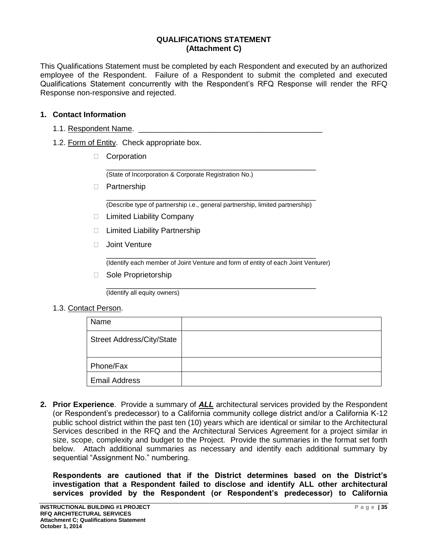#### **QUALIFICATIONS STATEMENT (Attachment C)**

This Qualifications Statement must be completed by each Respondent and executed by an authorized employee of the Respondent. Failure of a Respondent to submit the completed and executed Qualifications Statement concurrently with the Respondent's RFQ Response will render the RFQ Response non-responsive and rejected.

#### **1. Contact Information**

- 1.1. Respondent Name.
- 1.2. Form of Entity. Check appropriate box.
	- Corporation

\_\_\_\_\_\_\_\_\_\_\_\_\_\_\_\_\_\_\_\_\_\_\_\_\_\_\_\_\_\_\_\_\_\_\_\_\_\_\_\_\_\_\_\_\_\_\_\_\_ (State of Incorporation & Corporate Registration No.)

D Partnership

\_\_\_\_\_\_\_\_\_\_\_\_\_\_\_\_\_\_\_\_\_\_\_\_\_\_\_\_\_\_\_\_\_\_\_\_\_\_\_\_\_\_\_\_\_\_\_\_\_ (Describe type of partnership i.e., general partnership, limited partnership)

- □ Limited Liability Company
- □ Limited Liability Partnership
- □ Joint Venture

\_\_\_\_\_\_\_\_\_\_\_\_\_\_\_\_\_\_\_\_\_\_\_\_\_\_\_\_\_\_\_\_\_\_\_\_\_\_\_\_\_\_\_\_\_\_\_\_\_ (Identify each member of Joint Venture and form of entity of each Joint Venturer)

□ Sole Proprietorship

\_\_\_\_\_\_\_\_\_\_\_\_\_\_\_\_\_\_\_\_\_\_\_\_\_\_\_\_\_\_\_\_\_\_\_\_\_\_\_\_\_\_\_\_\_\_\_\_\_ (Identify all equity owners)

#### 1.3. Contact Person.

| Name                             |  |
|----------------------------------|--|
| <b>Street Address/City/State</b> |  |
| Phone/Fax                        |  |
| <b>Email Address</b>             |  |

**2. Prior Experience**. Provide a summary of *ALL* architectural services provided by the Respondent (or Respondent's predecessor) to a California community college district and/or a California K-12 public school district within the past ten (10) years which are identical or similar to the Architectural Services described in the RFQ and the Architectural Services Agreement for a project similar in size, scope, complexity and budget to the Project. Provide the summaries in the format set forth below. Attach additional summaries as necessary and identify each additional summary by sequential "Assignment No." numbering.

**Respondents are cautioned that if the District determines based on the District's investigation that a Respondent failed to disclose and identify ALL other architectural services provided by the Respondent (or Respondent's predecessor) to California**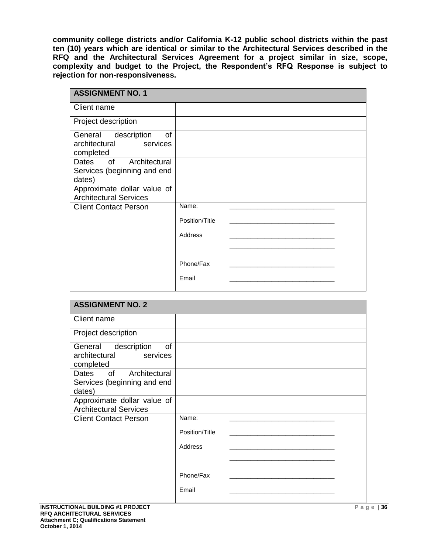**community college districts and/or California K-12 public school districts within the past ten (10) years which are identical or similar to the Architectural Services described in the RFQ and the Architectural Services Agreement for a project similar in size, scope, complexity and budget to the Project, the Respondent's RFQ Response is subject to rejection for non-responsiveness.**

| <b>ASSIGNMENT NO. 1</b>                                                |                |  |
|------------------------------------------------------------------------|----------------|--|
| Client name                                                            |                |  |
| Project description                                                    |                |  |
| description<br>of<br>General<br>architectural<br>services<br>completed |                |  |
| Dates of Architectural<br>Services (beginning and end<br>dates)        |                |  |
| Approximate dollar value of<br><b>Architectural Services</b>           |                |  |
| <b>Client Contact Person</b>                                           | Name:          |  |
|                                                                        | Position/Title |  |
|                                                                        | Address        |  |
|                                                                        |                |  |
|                                                                        | Phone/Fax      |  |
|                                                                        | Email          |  |

| <b>ASSIGNMENT NO. 2</b>                                             |                |
|---------------------------------------------------------------------|----------------|
| Client name                                                         |                |
| Project description                                                 |                |
| General description<br>of<br>architectural<br>services<br>completed |                |
| Dates of Architectural<br>Services (beginning and end<br>dates)     |                |
| Approximate dollar value of<br><b>Architectural Services</b>        |                |
| <b>Client Contact Person</b>                                        | Name:          |
|                                                                     | Position/Title |
|                                                                     | Address        |
|                                                                     |                |
|                                                                     | Phone/Fax      |
|                                                                     | Email          |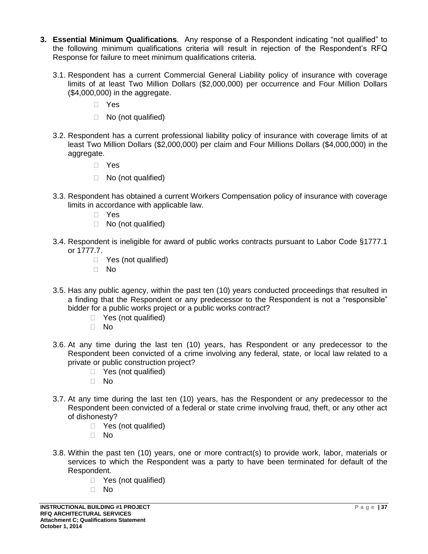- **3. Essential Minimum Qualifications**. Any response of a Respondent indicating "not qualified" to the following minimum qualifications criteria will result in rejection of the Respondent's RFQ Response for failure to meet minimum qualifications criteria.
	- 3.1. Respondent has a current Commercial General Liability policy of insurance with coverage limits of at least Two Million Dollars (\$2,000,000) per occurrence and Four Million Dollars (\$4,000,000) in the aggregate.
		- Yes
		- □ No (not qualified)
	- 3.2. Respondent has a current professional liability policy of insurance with coverage limits of at least Two Million Dollars (\$2,000,000) per claim and Four Millions Dollars (\$4,000,000) in the aggregate.
		- Yes
		- □ No (not qualified)
	- 3.3. Respondent has obtained a current Workers Compensation policy of insurance with coverage limits in accordance with applicable law.
		- Yes
		- □ No (not qualified)
	- 3.4. Respondent is ineligible for award of public works contracts pursuant to Labor Code §1777.1 or 1777.7.
		- □ Yes (not qualified)
		- No
	- 3.5. Has any public agency, within the past ten (10) years conducted proceedings that resulted in a finding that the Respondent or any predecessor to the Respondent is not a "responsible" bidder for a public works project or a public works contract?
		- □ Yes (not qualified)
		- $\Box$  No
	- 3.6. At any time during the last ten (10) years, has Respondent or any predecessor to the Respondent been convicted of a crime involving any federal, state, or local law related to a private or public construction project?
		- $\Box$  Yes (not qualified)
		- No
	- 3.7. At any time during the last ten (10) years, has the Respondent or any predecessor to the Respondent been convicted of a federal or state crime involving fraud, theft, or any other act of dishonesty?
		- □ Yes (not qualified)
		- No
	- 3.8. Within the past ten (10) years, one or more contract(s) to provide work, labor, materials or services to which the Respondent was a party to have been terminated for default of the Respondent.
		- □ Yes (not qualified)
		- No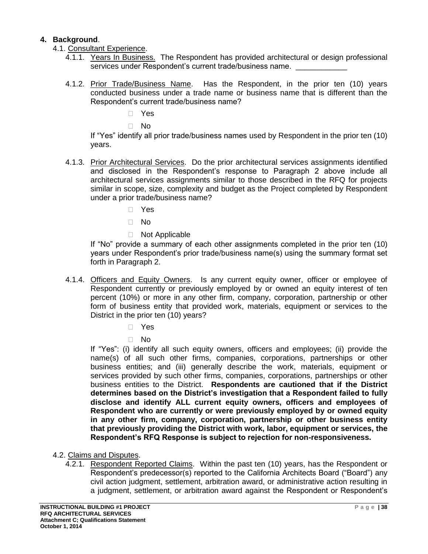### **4. Background**.

- 4.1. Consultant Experience.
	- 4.1.1. Years In Business. The Respondent has provided architectural or design professional services under Respondent's current trade/business name.
	- 4.1.2. Prior Trade/Business Name. Has the Respondent, in the prior ten (10) years conducted business under a trade name or business name that is different than the Respondent's current trade/business name?

Yes

No

If "Yes" identify all prior trade/business names used by Respondent in the prior ten (10) years.

- 4.1.3. Prior Architectural Services. Do the prior architectural services assignments identified and disclosed in the Respondent's response to Paragraph 2 above include all architectural services assignments similar to those described in the RFQ for projects similar in scope, size, complexity and budget as the Project completed by Respondent under a prior trade/business name?
	- Yes
	- $\Box$  No
	- Not Applicable

If "No" provide a summary of each other assignments completed in the prior ten (10) years under Respondent's prior trade/business name(s) using the summary format set forth in Paragraph 2.

- 4.1.4. Officers and Equity Owners. Is any current equity owner, officer or employee of Respondent currently or previously employed by or owned an equity interest of ten percent (10%) or more in any other firm, company, corporation, partnership or other form of business entity that provided work, materials, equipment or services to the District in the prior ten (10) years?
	- Yes
	- No

If "Yes": (i) identify all such equity owners, officers and employees; (ii) provide the name(s) of all such other firms, companies, corporations, partnerships or other business entities; and (iii) generally describe the work, materials, equipment or services provided by such other firms, companies, corporations, partnerships or other business entities to the District. **Respondents are cautioned that if the District determines based on the District's investigation that a Respondent failed to fully disclose and identify ALL current equity owners, officers and employees of Respondent who are currently or were previously employed by or owned equity in any other firm, company, corporation, partnership or other business entity that previously providing the District with work, labor, equipment or services, the Respondent's RFQ Response is subject to rejection for non-responsiveness.**

- 4.2. Claims and Disputes.
	- 4.2.1. Respondent Reported Claims. Within the past ten (10) years, has the Respondent or Respondent's predecessor(s) reported to the California Architects Board ("Board") any civil action judgment, settlement, arbitration award, or administrative action resulting in a judgment, settlement, or arbitration award against the Respondent or Respondent's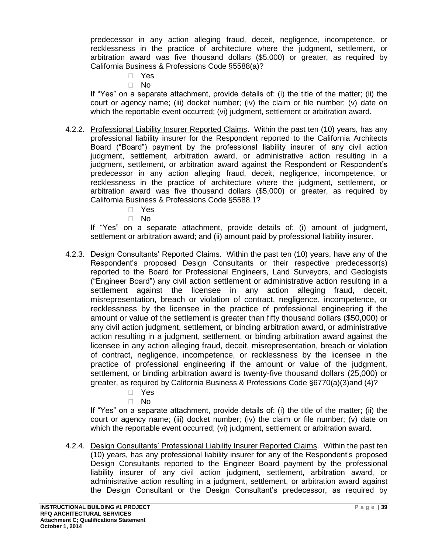predecessor in any action alleging fraud, deceit, negligence, incompetence, or recklessness in the practice of architecture where the judgment, settlement, or arbitration award was five thousand dollars (\$5,000) or greater, as required by California Business & Professions Code §5588(a)?

- Yes
- No

If "Yes" on a separate attachment, provide details of: (i) the title of the matter; (ii) the court or agency name; (iii) docket number; (iv) the claim or file number; (v) date on which the reportable event occurred; (vi) judgment, settlement or arbitration award.

- 4.2.2. Professional Liability Insurer Reported Claims. Within the past ten (10) years, has any professional liability insurer for the Respondent reported to the California Architects Board ("Board") payment by the professional liability insurer of any civil action judgment, settlement, arbitration award, or administrative action resulting in a judgment, settlement, or arbitration award against the Respondent or Respondent's predecessor in any action alleging fraud, deceit, negligence, incompetence, or recklessness in the practice of architecture where the judgment, settlement, or arbitration award was five thousand dollars (\$5,000) or greater, as required by California Business & Professions Code §5588.1?
	- Yes
	- No

If "Yes" on a separate attachment, provide details of: (i) amount of judgment, settlement or arbitration award; and (ii) amount paid by professional liability insurer.

- 4.2.3. Design Consultants' Reported Claims. Within the past ten (10) years, have any of the Respondent's proposed Design Consultants or their respective predecessor(s) reported to the Board for Professional Engineers, Land Surveyors, and Geologists ("Engineer Board") any civil action settlement or administrative action resulting in a settlement against the licensee in any action alleging fraud, deceit, misrepresentation, breach or violation of contract, negligence, incompetence, or recklessness by the licensee in the practice of professional engineering if the amount or value of the settlement is greater than fifty thousand dollars (\$50,000) or any civil action judgment, settlement, or binding arbitration award, or administrative action resulting in a judgment, settlement, or binding arbitration award against the licensee in any action alleging fraud, deceit, misrepresentation, breach or violation of contract, negligence, incompetence, or recklessness by the licensee in the practice of professional engineering if the amount or value of the judgment, settlement, or binding arbitration award is twenty-five thousand dollars (25,000) or greater, as required by California Business & Professions Code §6770(a)(3)and (4)?
	- Yes
	- $\Box$  No

If "Yes" on a separate attachment, provide details of: (i) the title of the matter; (ii) the court or agency name; (iii) docket number; (iv) the claim or file number; (v) date on which the reportable event occurred; (vi) judgment, settlement or arbitration award.

4.2.4. Design Consultants' Professional Liability Insurer Reported Claims. Within the past ten (10) years, has any professional liability insurer for any of the Respondent's proposed Design Consultants reported to the Engineer Board payment by the professional liability insurer of any civil action judgment, settlement, arbitration award, or administrative action resulting in a judgment, settlement, or arbitration award against the Design Consultant or the Design Consultant's predecessor, as required by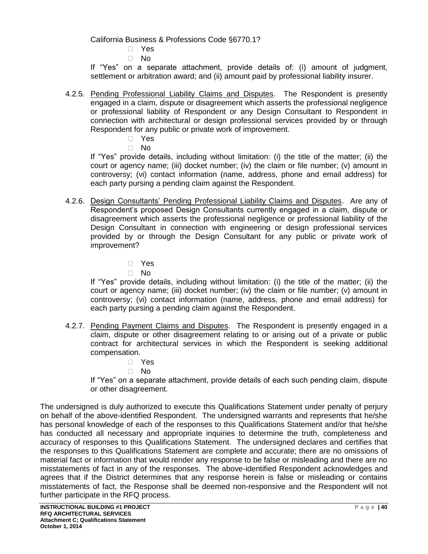California Business & Professions Code §6770.1?

Yes

No

If "Yes" on a separate attachment, provide details of: (i) amount of judgment, settlement or arbitration award; and (ii) amount paid by professional liability insurer.

4.2.5. Pending Professional Liability Claims and Disputes. The Respondent is presently engaged in a claim, dispute or disagreement which asserts the professional negligence or professional liability of Respondent or any Design Consultant to Respondent in connection with architectural or design professional services provided by or through Respondent for any public or private work of improvement.

Yes

No

If "Yes" provide details, including without limitation: (i) the title of the matter; (ii) the court or agency name; (iii) docket number; (iv) the claim or file number; (v) amount in controversy; (vi) contact information (name, address, phone and email address) for each party pursing a pending claim against the Respondent.

- 4.2.6. Design Consultants' Pending Professional Liability Claims and Disputes. Are any of Respondent's proposed Design Consultants currently engaged in a claim, dispute or disagreement which asserts the professional negligence or professional liability of the Design Consultant in connection with engineering or design professional services provided by or through the Design Consultant for any public or private work of improvement?
	- Yes
	- No

If "Yes" provide details, including without limitation: (i) the title of the matter; (ii) the court or agency name; (iii) docket number; (iv) the claim or file number; (v) amount in controversy; (vi) contact information (name, address, phone and email address) for each party pursing a pending claim against the Respondent.

- 4.2.7. Pending Payment Claims and Disputes. The Respondent is presently engaged in a claim, dispute or other disagreement relating to or arising out of a private or public contract for architectural services in which the Respondent is seeking additional compensation.
	- Yes
	- No

If "Yes" on a separate attachment, provide details of each such pending claim, dispute or other disagreement.

The undersigned is duly authorized to execute this Qualifications Statement under penalty of perjury on behalf of the above-identified Respondent. The undersigned warrants and represents that he/she has personal knowledge of each of the responses to this Qualifications Statement and/or that he/she has conducted all necessary and appropriate inquiries to determine the truth, completeness and accuracy of responses to this Qualifications Statement. The undersigned declares and certifies that the responses to this Qualifications Statement are complete and accurate; there are no omissions of material fact or information that would render any response to be false or misleading and there are no misstatements of fact in any of the responses. The above-identified Respondent acknowledges and agrees that if the District determines that any response herein is false or misleading or contains misstatements of fact, the Response shall be deemed non-responsive and the Respondent will not further participate in the RFQ process.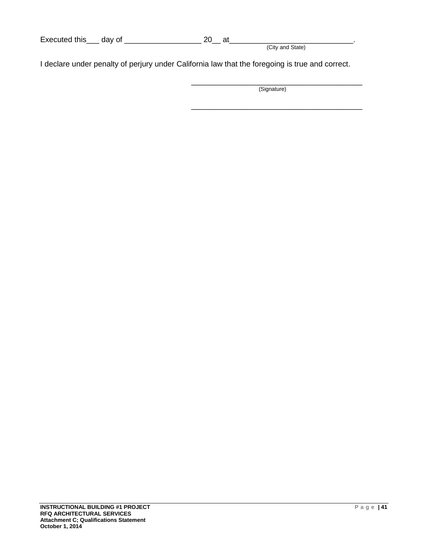| Executed this | dav o* |  |                  |
|---------------|--------|--|------------------|
|               |        |  | (City and State) |

I declare under penalty of perjury under California law that the foregoing is true and correct.

\_\_\_\_\_\_\_\_\_\_\_\_\_\_\_\_\_\_\_\_\_\_\_\_\_\_\_\_\_\_\_\_\_\_\_\_\_\_\_\_ (Signature)

\_\_\_\_\_\_\_\_\_\_\_\_\_\_\_\_\_\_\_\_\_\_\_\_\_\_\_\_\_\_\_\_\_\_\_\_\_\_\_\_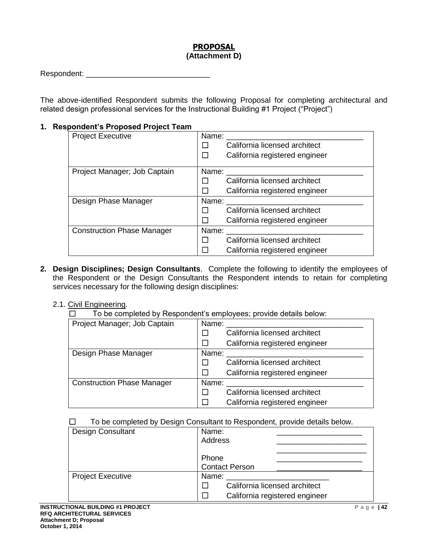### **PROPOSAL (Attachment D)**

| Respondent: |  |
|-------------|--|
|             |  |

The above-identified Respondent submits the following Proposal for completing architectural and related design professional services for the Instructional Building #1 Project ("Project")

### **1. Respondent's Proposed Project Team**

| <b>Project Executive</b>          | Name:                          |
|-----------------------------------|--------------------------------|
|                                   | California licensed architect  |
|                                   | California registered engineer |
| Project Manager; Job Captain      | Name:                          |
|                                   | California licensed architect  |
|                                   | California registered engineer |
| Design Phase Manager              | Name:                          |
|                                   | California licensed architect  |
|                                   | California registered engineer |
| <b>Construction Phase Manager</b> | Name:                          |
|                                   | California licensed architect  |
|                                   | California registered engineer |

- **2. Design Disciplines; Design Consultants**. Complete the following to identify the employees of the Respondent or the Design Consultants the Respondent intends to retain for completing services necessary for the following design disciplines:
	- 2.1. Civil Engineering.
		- ☐ To be completed by Respondent's employees; provide details below:

| Project Manager; Job Captain      | Name: |                                |
|-----------------------------------|-------|--------------------------------|
|                                   |       | California licensed architect  |
|                                   |       | California registered engineer |
| Design Phase Manager              | Name: |                                |
|                                   |       | California licensed architect  |
|                                   |       | California registered engineer |
| <b>Construction Phase Manager</b> | Name: |                                |
|                                   |       | California licensed architect  |
|                                   |       | California registered engineer |

#### $\Box$  To be completed by Design Consultant to Respondent, provide details below.

| ີ                        |                                |
|--------------------------|--------------------------------|
| <b>Design Consultant</b> | Name:<br>Address               |
|                          |                                |
|                          | Phone                          |
|                          | <b>Contact Person</b>          |
| <b>Project Executive</b> | Name:                          |
|                          | California licensed architect  |
|                          | California registered engineer |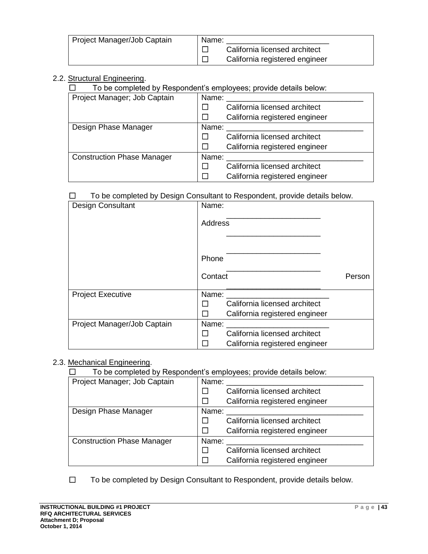| Project Manager/Job Captain | Name: |                                |
|-----------------------------|-------|--------------------------------|
|                             |       | California licensed architect  |
|                             |       | California registered engineer |

# 2.2. Structural Engineering.

☐ To be completed by Respondent's employees; provide details below:

| Project Manager; Job Captain      | Name: |                                |
|-----------------------------------|-------|--------------------------------|
|                                   |       | California licensed architect  |
|                                   |       | California registered engineer |
| Design Phase Manager              | Name: |                                |
|                                   |       | California licensed architect  |
|                                   |       | California registered engineer |
| <b>Construction Phase Manager</b> | Name: |                                |
|                                   |       | California licensed architect  |
|                                   |       | California registered engineer |

#### ☐ To be completed by Design Consultant to Respondent, provide details below.

| Design Consultant           | Name:                                         |        |
|-----------------------------|-----------------------------------------------|--------|
|                             | <b>Address</b>                                |        |
|                             |                                               |        |
|                             | Phone                                         |        |
|                             | Contact                                       | Person |
| <b>Project Executive</b>    | Name:                                         |        |
|                             | California licensed architect<br>l 1          |        |
|                             | П<br>California registered engineer           |        |
| Project Manager/Job Captain | Name:                                         |        |
|                             | California licensed architect<br>$\mathsf{L}$ |        |
|                             | California registered engineer                |        |

#### 2.3. Mechanical Engineering.

 $\Box$  To be completed by Respondent's employees; provide details below:

| Project Manager; Job Captain      | Name:<br>California licensed architect |
|-----------------------------------|----------------------------------------|
|                                   | California registered engineer         |
| Design Phase Manager              | Name:                                  |
|                                   | California licensed architect          |
|                                   | California registered engineer         |
| <b>Construction Phase Manager</b> | Name:                                  |
|                                   | California licensed architect          |
|                                   | California registered engineer         |

☐ To be completed by Design Consultant to Respondent, provide details below.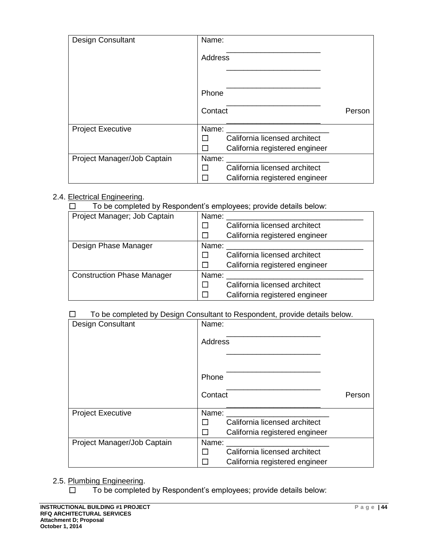| <b>Design Consultant</b>    | Name:                                           |        |
|-----------------------------|-------------------------------------------------|--------|
|                             | <b>Address</b>                                  |        |
|                             |                                                 |        |
|                             | Phone                                           |        |
|                             | Contact                                         | Person |
| <b>Project Executive</b>    | Name:                                           |        |
|                             | California licensed architect                   |        |
|                             | California registered engineer                  |        |
| Project Manager/Job Captain | Name:                                           |        |
|                             | California licensed architect<br>$\blacksquare$ |        |
|                             | California registered engineer                  |        |

### 2.4. Electrical Engineering.

☐ To be completed by Respondent's employees; provide details below:

| Project Manager; Job Captain      | Name:                          |  |
|-----------------------------------|--------------------------------|--|
|                                   | California licensed architect  |  |
|                                   | California registered engineer |  |
| Design Phase Manager              | Name:                          |  |
|                                   | California licensed architect  |  |
|                                   | California registered engineer |  |
| <b>Construction Phase Manager</b> | Name:                          |  |
|                                   | California licensed architect  |  |
|                                   | California registered engineer |  |

### ☐ To be completed by Design Consultant to Respondent, provide details below.

| <b>Design Consultant</b>    | Name:                                          |  |
|-----------------------------|------------------------------------------------|--|
|                             | <b>Address</b>                                 |  |
|                             | Phone                                          |  |
|                             | Contact<br>Person                              |  |
| <b>Project Executive</b>    | Name:                                          |  |
|                             | California licensed architect                  |  |
|                             | California registered engineer                 |  |
| Project Manager/Job Captain | Name:                                          |  |
|                             | California licensed architect<br>$\mathcal{L}$ |  |
|                             | California registered engineer                 |  |

### 2.5. Plumbing Engineering.

☐ To be completed by Respondent's employees; provide details below: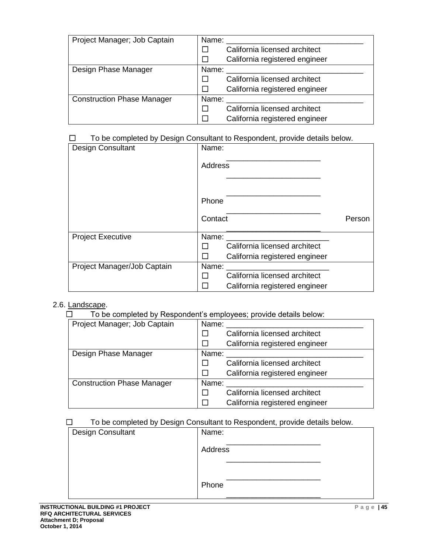| Project Manager; Job Captain      | Name:                          |
|-----------------------------------|--------------------------------|
|                                   | California licensed architect  |
|                                   | California registered engineer |
| Design Phase Manager              | Name:                          |
|                                   | California licensed architect  |
|                                   | California registered engineer |
| <b>Construction Phase Manager</b> | Name:                          |
|                                   | California licensed architect  |
|                                   | California registered engineer |

### ☐ To be completed by Design Consultant to Respondent, provide details below.

| Design Consultant           | Name:          |                                |        |
|-----------------------------|----------------|--------------------------------|--------|
|                             | <b>Address</b> |                                |        |
|                             | Phone          |                                |        |
|                             | Contact        |                                | Person |
| <b>Project Executive</b>    | Name:          |                                |        |
|                             |                | California licensed architect  |        |
|                             |                | California registered engineer |        |
| Project Manager/Job Captain | Name:          |                                |        |
|                             | ΙI             | California licensed architect  |        |
|                             |                | California registered engineer |        |

#### 2.6. Landscape.

☐ To be completed by Respondent's employees; provide details below:

| Project Manager; Job Captain      | Name:                         |                                |
|-----------------------------------|-------------------------------|--------------------------------|
|                                   | California licensed architect |                                |
|                                   |                               | California registered engineer |
| Design Phase Manager              | Name:                         |                                |
|                                   |                               | California licensed architect  |
|                                   |                               | California registered engineer |
| <b>Construction Phase Manager</b> | Name:                         |                                |
|                                   |                               | California licensed architect  |
|                                   |                               | California registered engineer |

### ☐ To be completed by Design Consultant to Respondent, provide details below.

| -<br>ີ            | $\cdot$ . |
|-------------------|-----------|
| Design Consultant | Name:     |
|                   | Address   |
|                   |           |
|                   | Phone     |
|                   |           |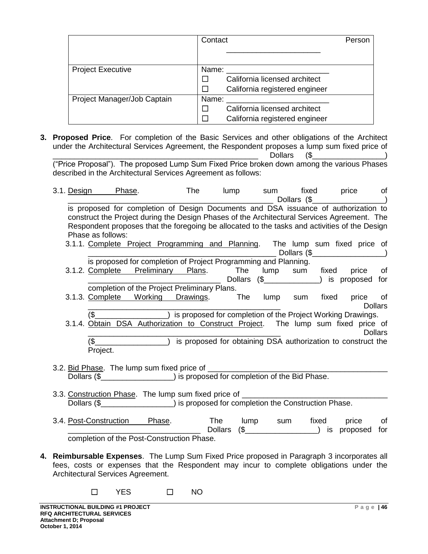|                             | Contact                        | Person |
|-----------------------------|--------------------------------|--------|
|                             |                                |        |
| <b>Project Executive</b>    | Name:                          |        |
|                             | California licensed architect  |        |
|                             | California registered engineer |        |
| Project Manager/Job Captain | Name:                          |        |
|                             | California licensed architect  |        |
|                             | California registered engineer |        |

**3. Proposed Price**. For completion of the Basic Services and other obligations of the Architect under the Architectural Services Agreement, the Respondent proposes a lump sum fixed price of \_\_\_\_\_\_\_\_\_\_\_\_\_\_\_\_\_\_\_\_\_\_\_\_\_\_\_\_\_\_\_\_\_\_\_\_\_\_\_\_\_\_\_\_\_\_\_\_ Dollars (\$\_\_\_\_\_\_\_\_\_\_\_\_\_\_\_\_\_)

("Price Proposal"). The proposed Lump Sum Fixed Price broken down among the various Phases described in the Architectural Services Agreement as follows:

| 3.1. Design                                                                                                                                                                                                                                                                             |                   | Phase.                                                                                                                                                                                                                                                                              |                   | The | <b>lump</b> | sum                                                          |     | fixed price | Dollars $(\frac{1}{2})$ | of             |
|-----------------------------------------------------------------------------------------------------------------------------------------------------------------------------------------------------------------------------------------------------------------------------------------|-------------------|-------------------------------------------------------------------------------------------------------------------------------------------------------------------------------------------------------------------------------------------------------------------------------------|-------------------|-----|-------------|--------------------------------------------------------------|-----|-------------|-------------------------|----------------|
|                                                                                                                                                                                                                                                                                         | Phase as follows: | is proposed for completion of Design Documents and DSA issuance of authorization to<br>construct the Project during the Design Phases of the Architectural Services Agreement. The<br>Respondent proposes that the foregoing be allocated to the tasks and activities of the Design |                   |     |             |                                                              |     |             |                         |                |
|                                                                                                                                                                                                                                                                                         |                   | 3.1.1. Complete Project Programming and Planning. The lump sum fixed price of                                                                                                                                                                                                       |                   |     |             |                                                              |     |             | Dollars $(\frac{2}{2})$ |                |
|                                                                                                                                                                                                                                                                                         |                   | is proposed for completion of Project Programming and Planning.<br>3.1.2. Complete Preliminary Plans. The lump sum fixed price of                                                                                                                                                   |                   |     |             | Dollars (\$________________) is proposed for                 |     |             |                         |                |
|                                                                                                                                                                                                                                                                                         | 3.1.3. Complete   | completion of the Project Preliminary Plans.                                                                                                                                                                                                                                        | Working Drawings. |     | The         | lump                                                         | sum | fixed       | price of                | <b>Dollars</b> |
|                                                                                                                                                                                                                                                                                         |                   | (\$ 1990) is proposed for completion of the Project Working Drawings.<br>3.1.4. Obtain DSA Authorization to Construct Project. The lump sum fixed price of                                                                                                                          |                   |     |             |                                                              |     |             |                         | <b>Dollars</b> |
|                                                                                                                                                                                                                                                                                         | (\$<br>Project.   |                                                                                                                                                                                                                                                                                     |                   |     |             | is proposed for obtaining DSA authorization to construct the |     |             |                         |                |
| 3.2. Bid Phase. The lump sum fixed price of ________<br>Dollars (\$\Resonance_\Resonance_\Resonance_\Resonance_\Resonance_\Resonance_\Resonance_\Resonance_\Resonance_\Resonance_\Resonance_\Resonance_\Resonance_\Resonance_\Resonance_\Resonance_\Resonance_\Resonance_\Resonance_\Re |                   |                                                                                                                                                                                                                                                                                     |                   |     |             |                                                              |     |             |                         |                |
|                                                                                                                                                                                                                                                                                         |                   |                                                                                                                                                                                                                                                                                     |                   |     |             |                                                              |     |             |                         |                |
|                                                                                                                                                                                                                                                                                         |                   | 3.3. Construction Phase. The lump sum fixed price of ___                                                                                                                                                                                                                            |                   |     |             |                                                              |     |             |                         |                |
| Dollars (\$                                                                                                                                                                                                                                                                             |                   |                                                                                                                                                                                                                                                                                     |                   |     |             | ) is proposed for completion the Construction Phase.         |     |             |                         |                |

- 3.4. Post-Construction Phase. The lump sum fixed price of the lump sum fixed price of  $\Box$ ) is proposed for completion of the Post-Construction Phase.
- **4. Reimbursable Expenses**. The Lump Sum Fixed Price proposed in Paragraph 3 incorporates all fees, costs or expenses that the Respondent may incur to complete obligations under the Architectural Services Agreement.
	- ☐ YES ☐ NO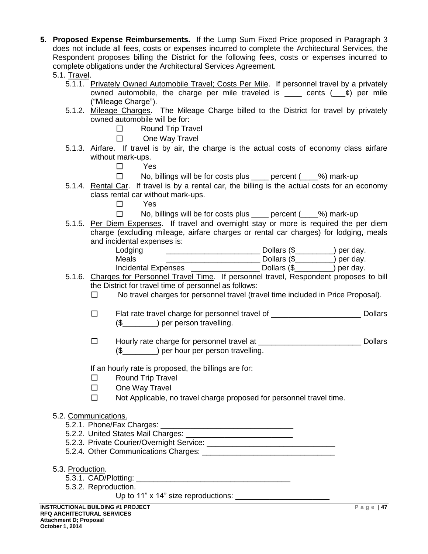- **5. Proposed Expense Reimbursements.** If the Lump Sum Fixed Price proposed in Paragraph 3 does not include all fees, costs or expenses incurred to complete the Architectural Services, the Respondent proposes billing the District for the following fees, costs or expenses incurred to complete obligations under the Architectural Services Agreement.
	- 5.1. Travel.
		- 5.1.1. Privately Owned Automobile Travel; Costs Per Mile. If personnel travel by a privately owned automobile, the charge per mile traveled is cents  $($   $)$  per mile ("Mileage Charge").
		- 5.1.2. Mileage Charges. The Mileage Charge billed to the District for travel by privately owned automobile will be for:
			- ☐ Round Trip Travel
			- ☐ One Way Travel
		- 5.1.3. Airfare. If travel is by air, the charge is the actual costs of economy class airfare without mark-ups.
			- ☐ Yes
			- ☐ No, billings will be for costs plus \_\_\_\_ percent (\_\_\_\_%) mark-up
		- 5.1.4. Rental Car. If travel is by a rental car, the billing is the actual costs for an economy class rental car without mark-ups.
			- ☐ Yes
			- ☐ No, billings will be for costs plus \_\_\_\_ percent (\_\_\_\_%) mark-up
		- 5.1.5. Per Diem Expenses. If travel and overnight stay or more is required the per diem charge (excluding mileage, airfare charges or rental car charges) for lodging, meals and incidental expenses is:

| Lodging             | Dollars (\$ | $\log$ per day. |
|---------------------|-------------|-----------------|
| Meals               | Dollars (\$ | per day.        |
| Incidental Expenses | Dollars (\$ | per day.        |

- 5.1.6. Charges for Personnel Travel Time. If personnel travel, Respondent proposes to bill the District for travel time of personnel as follows:
	- ☐ No travel charges for personnel travel (travel time included in Price Proposal).
	- ☐ Flat rate travel charge for personnel travel of \_\_\_\_\_\_\_\_\_\_\_\_\_\_\_\_\_\_\_\_\_ Dollars (\$) per person travelling.
	- ☐ Hourly rate charge for personnel travel at \_\_\_\_\_\_\_\_\_\_\_\_\_\_\_\_\_\_\_\_\_\_\_\_ Dollars (\$\_\_\_\_\_\_\_\_) per hour per person travelling.

If an hourly rate is proposed, the billings are for:

- ☐ Round Trip Travel
- ☐ One Way Travel
- ☐ Not Applicable, no travel charge proposed for personnel travel time.

#### 5.2. Communications.

- 5.2.1. Phone/Fax Charges: \_\_\_\_\_\_\_\_\_\_\_\_\_\_\_\_\_\_\_\_\_\_\_\_\_\_\_\_\_\_\_
- 5.2.2. United States Mail Charges: \_\_\_\_\_\_\_\_\_\_\_\_\_\_\_\_\_\_\_\_\_\_\_\_\_
- 5.2.3. Private Courier/Overnight Service:
- 5.2.4. Other Communications Charges: \_\_\_\_\_\_\_\_\_\_\_\_\_\_\_\_\_\_\_\_\_\_\_\_\_\_\_\_\_\_\_
- 5.3. Production.
	- 5.3.1. CAD/Plotting:
	- 5.3.2. Reproduction.

Up to 11" x 14" size reproductions: \_\_\_\_\_\_\_\_\_\_\_\_\_\_\_\_\_\_\_\_\_\_